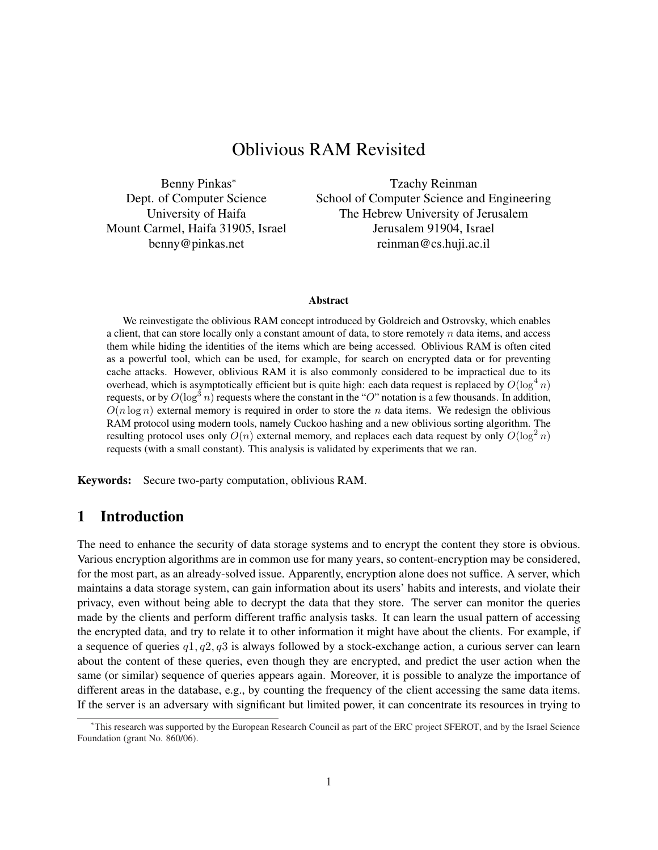# Oblivious RAM Revisited

Benny Pinkas<sup>∗</sup> Dept. of Computer Science University of Haifa Mount Carmel, Haifa 31905, Israel benny@pinkas.net

Tzachy Reinman School of Computer Science and Engineering The Hebrew University of Jerusalem Jerusalem 91904, Israel reinman@cs.huji.ac.il

#### Abstract

We reinvestigate the oblivious RAM concept introduced by Goldreich and Ostrovsky, which enables a client, that can store locally only a constant amount of data, to store remotely  $n$  data items, and access them while hiding the identities of the items which are being accessed. Oblivious RAM is often cited as a powerful tool, which can be used, for example, for search on encrypted data or for preventing cache attacks. However, oblivious RAM it is also commonly considered to be impractical due to its overhead, which is asymptotically efficient but is quite high: each data request is replaced by  $O(\log^4 n)$ requests, or by  $O(\log^3 n)$  requests where the constant in the "O" notation is a few thousands. In addition,  $O(n \log n)$  external memory is required in order to store the n data items. We redesign the oblivious RAM protocol using modern tools, namely Cuckoo hashing and a new oblivious sorting algorithm. The resulting protocol uses only  $O(n)$  external memory, and replaces each data request by only  $O(\log^2 n)$ requests (with a small constant). This analysis is validated by experiments that we ran.

Keywords: Secure two-party computation, oblivious RAM.

## 1 Introduction

The need to enhance the security of data storage systems and to encrypt the content they store is obvious. Various encryption algorithms are in common use for many years, so content-encryption may be considered, for the most part, as an already-solved issue. Apparently, encryption alone does not suffice. A server, which maintains a data storage system, can gain information about its users' habits and interests, and violate their privacy, even without being able to decrypt the data that they store. The server can monitor the queries made by the clients and perform different traffic analysis tasks. It can learn the usual pattern of accessing the encrypted data, and try to relate it to other information it might have about the clients. For example, if a sequence of queries  $q1, q2, q3$  is always followed by a stock-exchange action, a curious server can learn about the content of these queries, even though they are encrypted, and predict the user action when the same (or similar) sequence of queries appears again. Moreover, it is possible to analyze the importance of different areas in the database, e.g., by counting the frequency of the client accessing the same data items. If the server is an adversary with significant but limited power, it can concentrate its resources in trying to

<sup>∗</sup>This research was supported by the European Research Council as part of the ERC project SFEROT, and by the Israel Science Foundation (grant No. 860/06).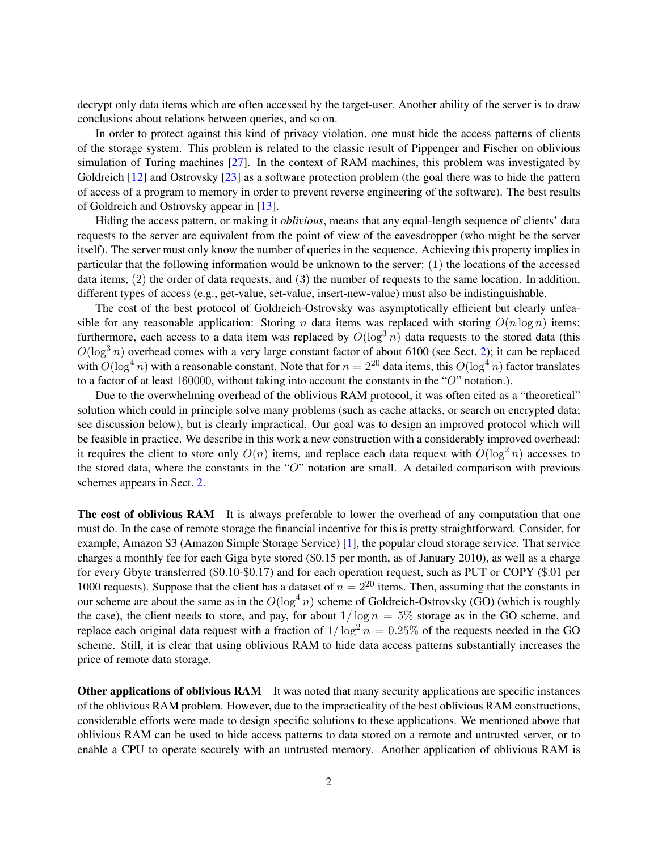decrypt only data items which are often accessed by the target-user. Another ability of the server is to draw conclusions about relations between queries, and so on.

In order to protect against this kind of privacy violation, one must hide the access patterns of clients of the storage system. This problem is related to the classic result of Pippenger and Fischer on oblivious simulation of Turing machines [27]. In the context of RAM machines, this problem was investigated by Goldreich [12] and Ostrovsky [23] as a software protection problem (the goal there was to hide the pattern of access of a program to memory in order to prevent reverse engineering of the software). The best results of Goldreich and Ostrovsky appear in [13].

Hiding the access pattern, or making it *oblivious*, means that any equal-length sequence of clients' data requests to the server are equivalent from the point of view of the eavesdropper (who might be the server itself). The server must only know the number of queries in the sequence. Achieving this property implies in particular that the following information would be unknown to the server: (1) the locations of the accessed data items, (2) the order of data requests, and (3) the number of requests to the same location. In addition, different types of access (e.g., get-value, set-value, insert-new-value) must also be indistinguishable.

The cost of the best protocol of Goldreich-Ostrovsky was asymptotically efficient but clearly unfeasible for any reasonable application: Storing n data items was replaced with storing  $O(n \log n)$  items; furthermore, each access to a data item was replaced by  $O(\log^3 n)$  data requests to the stored data (this  $O(\log^3 n)$  overhead comes with a very large constant factor of about 6100 (see Sect. 2); it can be replaced with  $O(\log^4 n)$  with a reasonable constant. Note that for  $n = 2^{20}$  data items, this  $O(\log^4 n)$  factor translates to a factor of at least 160000, without taking into account the constants in the " $O$ " notation.).

Due to the overwhelming overhead of the oblivious RAM protocol, it was often cited as a "theoretical" solution which could in principle solve many problems (such as cache attacks, or search on encrypted data; see discussion below), but is clearly impractical. Our goal was to design an improved protocol which will be feasible in practice. We describe in this work a new construction with a considerably improved overhead: it requires the client to store only  $O(n)$  items, and replace each data request with  $O(\log^2 n)$  accesses to the stored data, where the constants in the " $O$ " notation are small. A detailed comparison with previous schemes appears in Sect. 2.

The cost of oblivious RAM It is always preferable to lower the overhead of any computation that one must do. In the case of remote storage the financial incentive for this is pretty straightforward. Consider, for example, Amazon S3 (Amazon Simple Storage Service) [1], the popular cloud storage service. That service charges a monthly fee for each Giga byte stored (\$0.15 per month, as of January 2010), as well as a charge for every Gbyte transferred (\$0.10-\$0.17) and for each operation request, such as PUT or COPY (\$.01 per 1000 requests). Suppose that the client has a dataset of  $n = 2^{20}$  items. Then, assuming that the constants in our scheme are about the same as in the  $O(\log^4 n)$  scheme of Goldreich-Ostrovsky (GO) (which is roughly the case), the client needs to store, and pay, for about  $1/\log n = 5\%$  storage as in the GO scheme, and replace each original data request with a fraction of  $1/\log^2 n = 0.25\%$  of the requests needed in the GO scheme. Still, it is clear that using oblivious RAM to hide data access patterns substantially increases the price of remote data storage.

Other applications of oblivious RAM It was noted that many security applications are specific instances of the oblivious RAM problem. However, due to the impracticality of the best oblivious RAM constructions, considerable efforts were made to design specific solutions to these applications. We mentioned above that oblivious RAM can be used to hide access patterns to data stored on a remote and untrusted server, or to enable a CPU to operate securely with an untrusted memory. Another application of oblivious RAM is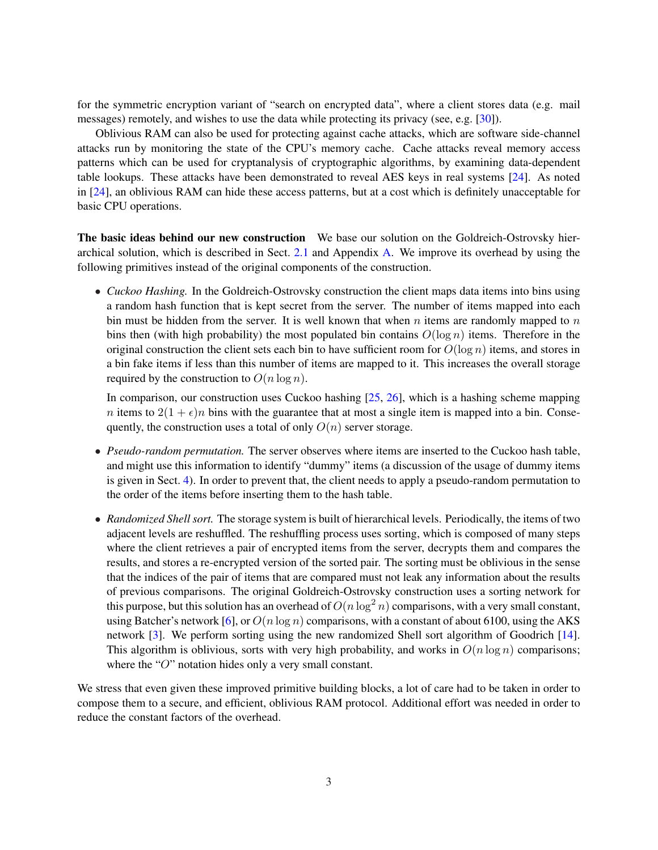for the symmetric encryption variant of "search on encrypted data", where a client stores data (e.g. mail messages) remotely, and wishes to use the data while protecting its privacy (see, e.g. [30]).

Oblivious RAM can also be used for protecting against cache attacks, which are software side-channel attacks run by monitoring the state of the CPU's memory cache. Cache attacks reveal memory access patterns which can be used for cryptanalysis of cryptographic algorithms, by examining data-dependent table lookups. These attacks have been demonstrated to reveal AES keys in real systems [24]. As noted in [24], an oblivious RAM can hide these access patterns, but at a cost which is definitely unacceptable for basic CPU operations.

The basic ideas behind our new construction We base our solution on the Goldreich-Ostrovsky hierarchical solution, which is described in Sect. 2.1 and Appendix A. We improve its overhead by using the following primitives instead of the original components of the construction.

• *Cuckoo Hashing.* In the Goldreich-Ostrovsky construction the client maps data items into bins using a random hash function that is kept secret from the server. The number of items mapped into each bin must be hidden from the server. It is well known that when n items are randomly mapped to  $n$ bins then (with high probability) the most populated bin contains  $O(\log n)$  items. Therefore in the original construction the client sets each bin to have sufficient room for  $O(\log n)$  items, and stores in a bin fake items if less than this number of items are mapped to it. This increases the overall storage required by the construction to  $O(n \log n)$ .

In comparison, our construction uses Cuckoo hashing [25, 26], which is a hashing scheme mapping *n* items to  $2(1 + \epsilon)n$  bins with the guarantee that at most a single item is mapped into a bin. Consequently, the construction uses a total of only  $O(n)$  server storage.

- *Pseudo-random permutation.* The server observes where items are inserted to the Cuckoo hash table, and might use this information to identify "dummy" items (a discussion of the usage of dummy items is given in Sect. 4). In order to prevent that, the client needs to apply a pseudo-random permutation to the order of the items before inserting them to the hash table.
- *Randomized Shell sort.* The storage system is built of hierarchical levels. Periodically, the items of two adjacent levels are reshuffled. The reshuffling process uses sorting, which is composed of many steps where the client retrieves a pair of encrypted items from the server, decrypts them and compares the results, and stores a re-encrypted version of the sorted pair. The sorting must be oblivious in the sense that the indices of the pair of items that are compared must not leak any information about the results of previous comparisons. The original Goldreich-Ostrovsky construction uses a sorting network for this purpose, but this solution has an overhead of  $O(n \log^2 n)$  comparisons, with a very small constant, using Batcher's network [6], or  $O(n \log n)$  comparisons, with a constant of about 6100, using the AKS network [3]. We perform sorting using the new randomized Shell sort algorithm of Goodrich [14]. This algorithm is oblivious, sorts with very high probability, and works in  $O(n \log n)$  comparisons; where the "O" notation hides only a very small constant.

We stress that even given these improved primitive building blocks, a lot of care had to be taken in order to compose them to a secure, and efficient, oblivious RAM protocol. Additional effort was needed in order to reduce the constant factors of the overhead.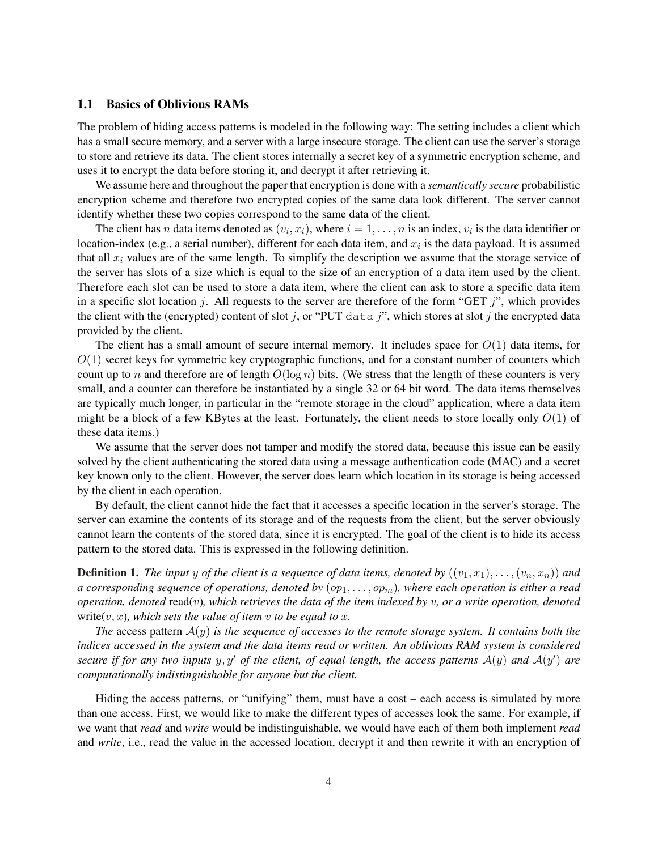#### 1.1 Basics of Oblivious RAMs

The problem of hiding access patterns is modeled in the following way: The setting includes a client which has a small secure memory, and a server with a large insecure storage. The client can use the server's storage to store and retrieve its data. The client stores internally a secret key of a symmetric encryption scheme, and uses it to encrypt the data before storing it, and decrypt it after retrieving it.

We assume here and throughout the paper that encryption is done with a *semantically secure* probabilistic encryption scheme and therefore two encrypted copies of the same data look different. The server cannot identify whether these two copies correspond to the same data of the client.

The client has *n* data items denoted as  $(v_i, x_i)$ , where  $i = 1, ..., n$  is an index,  $v_i$  is the data identifier or location-index (e.g., a serial number), different for each data item, and  $x_i$  is the data payload. It is assumed that all  $x_i$  values are of the same length. To simplify the description we assume that the storage service of the server has slots of a size which is equal to the size of an encryption of a data item used by the client. Therefore each slot can be used to store a data item, where the client can ask to store a specific data item in a specific slot location j. All requests to the server are therefore of the form "GET j", which provides the client with the (encrypted) content of slot j, or "PUT data j", which stores at slot j the encrypted data provided by the client.

The client has a small amount of secure internal memory. It includes space for  $O(1)$  data items, for  $O(1)$  secret keys for symmetric key cryptographic functions, and for a constant number of counters which count up to n and therefore are of length  $O(\log n)$  bits. (We stress that the length of these counters is very small, and a counter can therefore be instantiated by a single 32 or 64 bit word. The data items themselves are typically much longer, in particular in the "remote storage in the cloud" application, where a data item might be a block of a few KBytes at the least. Fortunately, the client needs to store locally only  $O(1)$  of these data items.)

We assume that the server does not tamper and modify the stored data, because this issue can be easily solved by the client authenticating the stored data using a message authentication code (MAC) and a secret key known only to the client. However, the server does learn which location in its storage is being accessed by the client in each operation.

By default, the client cannot hide the fact that it accesses a specific location in the server's storage. The server can examine the contents of its storage and of the requests from the client, but the server obviously cannot learn the contents of the stored data, since it is encrypted. The goal of the client is to hide its access pattern to the stored data. This is expressed in the following definition.

**Definition 1.** *The input y of the client is a sequence of data items, denoted by*  $((v_1, x_1), \ldots, (v_n, x_n))$  *and a corresponding sequence of operations, denoted by* (op1, . . . , opm)*, where each operation is either a read operation, denoted* read(v)*, which retrieves the data of the item indexed by* v*, or a write operation, denoted* write( $v, x$ ), which sets the value of item  $v$  to be equal to  $x$ .

*The* access pattern  $A(y)$  *is the sequence of accesses to the remote storage system. It contains both the indices accessed in the system and the data items read or written. An oblivious RAM system is considered secure if for any two inputs*  $y, y'$  *of the client, of equal length, the access patterns*  $A(y)$  *and*  $A(y')$  *are computationally indistinguishable for anyone but the client.*

Hiding the access patterns, or "unifying" them, must have a cost – each access is simulated by more than one access. First, we would like to make the different types of accesses look the same. For example, if we want that *read* and *write* would be indistinguishable, we would have each of them both implement *read* and *write*, i.e., read the value in the accessed location, decrypt it and then rewrite it with an encryption of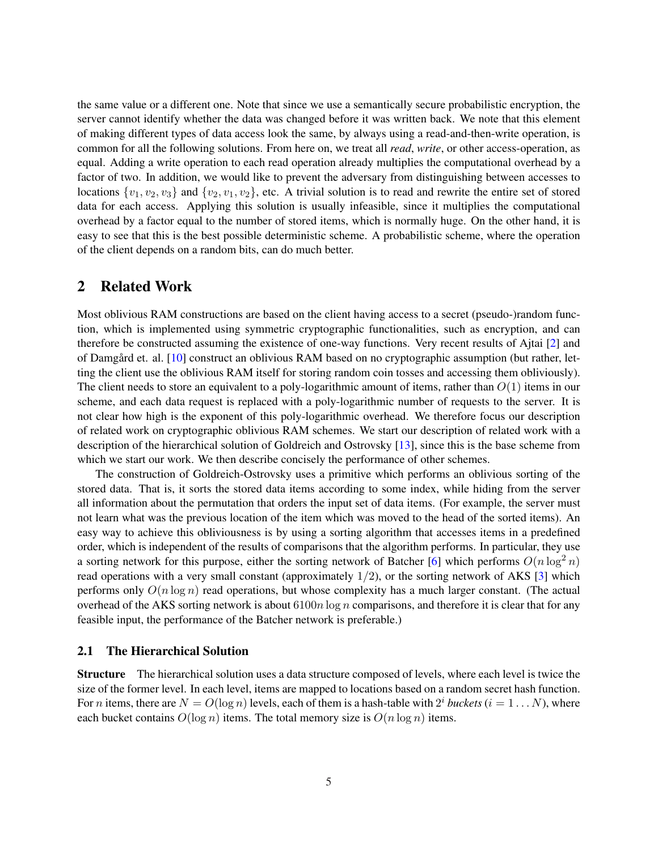the same value or a different one. Note that since we use a semantically secure probabilistic encryption, the server cannot identify whether the data was changed before it was written back. We note that this element of making different types of data access look the same, by always using a read-and-then-write operation, is common for all the following solutions. From here on, we treat all *read*, *write*, or other access-operation, as equal. Adding a write operation to each read operation already multiplies the computational overhead by a factor of two. In addition, we would like to prevent the adversary from distinguishing between accesses to locations  $\{v_1, v_2, v_3\}$  and  $\{v_2, v_1, v_2\}$ , etc. A trivial solution is to read and rewrite the entire set of stored data for each access. Applying this solution is usually infeasible, since it multiplies the computational overhead by a factor equal to the number of stored items, which is normally huge. On the other hand, it is easy to see that this is the best possible deterministic scheme. A probabilistic scheme, where the operation of the client depends on a random bits, can do much better.

## 2 Related Work

Most oblivious RAM constructions are based on the client having access to a secret (pseudo-)random function, which is implemented using symmetric cryptographic functionalities, such as encryption, and can therefore be constructed assuming the existence of one-way functions. Very recent results of Ajtai [2] and of Damgård et. al. [10] construct an oblivious RAM based on no cryptographic assumption (but rather, letting the client use the oblivious RAM itself for storing random coin tosses and accessing them obliviously). The client needs to store an equivalent to a poly-logarithmic amount of items, rather than  $O(1)$  items in our scheme, and each data request is replaced with a poly-logarithmic number of requests to the server. It is not clear how high is the exponent of this poly-logarithmic overhead. We therefore focus our description of related work on cryptographic oblivious RAM schemes. We start our description of related work with a description of the hierarchical solution of Goldreich and Ostrovsky [13], since this is the base scheme from which we start our work. We then describe concisely the performance of other schemes.

The construction of Goldreich-Ostrovsky uses a primitive which performs an oblivious sorting of the stored data. That is, it sorts the stored data items according to some index, while hiding from the server all information about the permutation that orders the input set of data items. (For example, the server must not learn what was the previous location of the item which was moved to the head of the sorted items). An easy way to achieve this obliviousness is by using a sorting algorithm that accesses items in a predefined order, which is independent of the results of comparisons that the algorithm performs. In particular, they use a sorting network for this purpose, either the sorting network of Batcher [6] which performs  $O(n \log^2 n)$ read operations with a very small constant (approximately  $1/2$ ), or the sorting network of AKS [3] which performs only  $O(n \log n)$  read operations, but whose complexity has a much larger constant. (The actual overhead of the AKS sorting network is about  $6100n \log n$  comparisons, and therefore it is clear that for any feasible input, the performance of the Batcher network is preferable.)

#### 2.1 The Hierarchical Solution

Structure The hierarchical solution uses a data structure composed of levels, where each level is twice the size of the former level. In each level, items are mapped to locations based on a random secret hash function. For *n* items, there are  $N = O(\log n)$  levels, each of them is a hash-table with  $2^i$  buckets  $(i = 1 ... N)$ , where each bucket contains  $O(\log n)$  items. The total memory size is  $O(n \log n)$  items.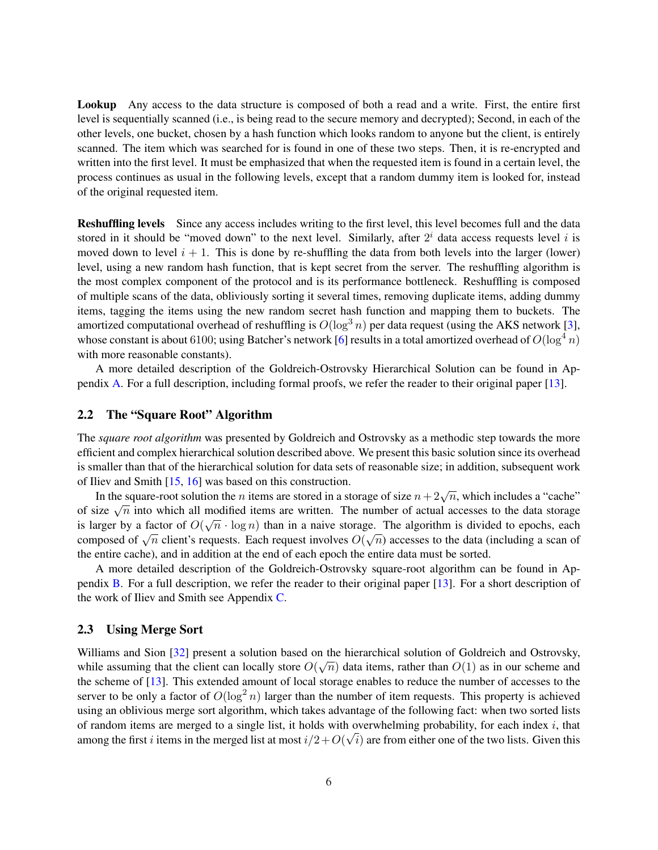Lookup Any access to the data structure is composed of both a read and a write. First, the entire first level is sequentially scanned (i.e., is being read to the secure memory and decrypted); Second, in each of the other levels, one bucket, chosen by a hash function which looks random to anyone but the client, is entirely scanned. The item which was searched for is found in one of these two steps. Then, it is re-encrypted and written into the first level. It must be emphasized that when the requested item is found in a certain level, the process continues as usual in the following levels, except that a random dummy item is looked for, instead of the original requested item.

Reshuffling levels Since any access includes writing to the first level, this level becomes full and the data stored in it should be "moved down" to the next level. Similarly, after  $2<sup>i</sup>$  data access requests level i is moved down to level  $i + 1$ . This is done by re-shuffling the data from both levels into the larger (lower) level, using a new random hash function, that is kept secret from the server. The reshuffling algorithm is the most complex component of the protocol and is its performance bottleneck. Reshuffling is composed of multiple scans of the data, obliviously sorting it several times, removing duplicate items, adding dummy items, tagging the items using the new random secret hash function and mapping them to buckets. The amortized computational overhead of reshuffling is  $O(\log^3 n)$  per data request (using the AKS network [3], whose constant is about 6100; using Batcher's network [6] results in a total amortized overhead of  $O(\log^4 n)$ with more reasonable constants).

A more detailed description of the Goldreich-Ostrovsky Hierarchical Solution can be found in Appendix A. For a full description, including formal proofs, we refer the reader to their original paper [13].

### 2.2 The "Square Root" Algorithm

The *square root algorithm* was presented by Goldreich and Ostrovsky as a methodic step towards the more efficient and complex hierarchical solution described above. We present this basic solution since its overhead is smaller than that of the hierarchical solution for data sets of reasonable size; in addition, subsequent work of Iliev and Smith [15, 16] was based on this construction.

In the square-root solution the *n* items are stored in a storage of size  $n + 2\sqrt{n}$ , which includes a "cache" In the square-root solution the *n* items are stored in a storage of size  $n + 2\sqrt{n}$ , which includes a cache<br>of size  $\sqrt{n}$  into which all modified items are written. The number of actual accesses to the data storage is larger by a factor of  $O(\sqrt{n} \cdot \log n)$  than in a naive storage. The algorithm is divided to epochs, each composed of  $\sqrt{n}$  client's requests. Each request involves  $O(\sqrt{n})$  accesses to the data (including a scan of the entire cache), and in addition at the end of each epoch the entire data must be sorted.

A more detailed description of the Goldreich-Ostrovsky square-root algorithm can be found in Appendix B. For a full description, we refer the reader to their original paper [13]. For a short description of the work of Iliev and Smith see Appendix C.

#### 2.3 Using Merge Sort

Williams and Sion [32] present a solution based on the hierarchical solution of Goldreich and Ostrovsky, while assuming that the client can locally store  $O(\sqrt{n})$  data items, rather than  $O(1)$  as in our scheme and the scheme of [13]. This extended amount of local storage enables to reduce the number of accesses to the server to be only a factor of  $O(\log^2 n)$  larger than the number of item requests. This property is achieved using an oblivious merge sort algorithm, which takes advantage of the following fact: when two sorted lists of random items are merged to a single list, it holds with overwhelming probability, for each index  $i$ , that among the first i items in the merged list at most  $i/2 + O(\sqrt{i})$  are from either one of the two lists. Given this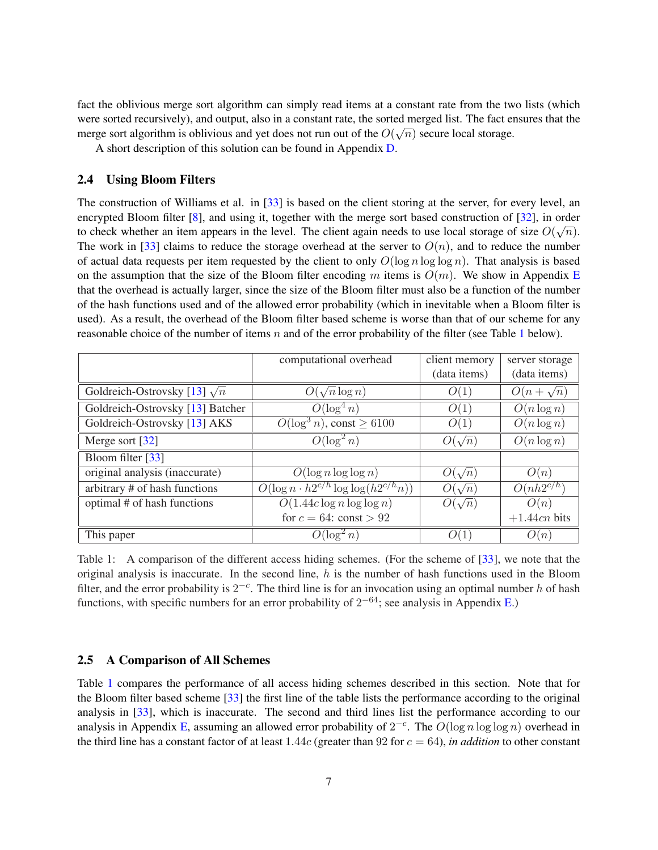fact the oblivious merge sort algorithm can simply read items at a constant rate from the two lists (which were sorted recursively), and output, also in a constant rate, the sorted merged list. The fact ensures that the merge sort algorithm is oblivious and yet does not run out of the  $O(\sqrt{n})$  secure local storage.

A short description of this solution can be found in Appendix D.

#### 2.4 Using Bloom Filters

The construction of Williams et al. in [33] is based on the client storing at the server, for every level, an encrypted Bloom filter [8], and using it, together with the merge sort based construction of [32], in order to check whether an item appears in the level. The client again needs to use local storage of size  $O(\sqrt{n})$ . The work in [33] claims to reduce the storage overhead at the server to  $O(n)$ , and to reduce the number of actual data requests per item requested by the client to only  $O(\log n \log \log n)$ . That analysis is based on the assumption that the size of the Bloom filter encoding m items is  $O(m)$ . We show in Appendix E that the overhead is actually larger, since the size of the Bloom filter must also be a function of the number of the hash functions used and of the allowed error probability (which in inevitable when a Bloom filter is used). As a result, the overhead of the Bloom filter based scheme is worse than that of our scheme for any reasonable choice of the number of items n and of the error probability of the filter (see Table 1 below).

|                                     | computational overhead                            | client memory | server storage  |
|-------------------------------------|---------------------------------------------------|---------------|-----------------|
|                                     |                                                   | (data items)  | (data items)    |
| Goldreich-Ostrovsky [13] $\sqrt{n}$ | $O(\sqrt{n}\log n)$                               | O(1)          | $O(n+\sqrt{n})$ |
| Goldreich-Ostrovsky [13] Batcher    | $O(\log^4 n)$                                     | O(1)          | $O(n \log n)$   |
| Goldreich-Ostrovsky [13] AKS        | $O(\log^3 n)$ , const $\geq 6100$                 | O(1)          | $O(n \log n)$   |
| Merge sort [32]                     | $O(\log^2 n)$                                     | $O(\sqrt{n})$ | $O(n \log n)$   |
| Bloom filter [33]                   |                                                   |               |                 |
| original analysis (inaccurate)      | $O(\log n \log \log n)$                           | $O(\sqrt{n})$ | O(n)            |
| arbitrary # of hash functions       | $O(\log n \cdot h2^{c/h} \log \log (h2^{c/h} n))$ | $O(\sqrt{n})$ | $O(nh2^{c/h})$  |
| optimal # of hash functions         | $O(1.44c \log n \log \log n)$                     | $O(\sqrt{n})$ | O(n)            |
|                                     | for $c = 64$ : const > 92                         |               | $+1.44cn$ bits  |
| This paper                          | $\log^2 n$                                        |               | O(n)            |

Table 1: A comparison of the different access hiding schemes. (For the scheme of [33], we note that the original analysis is inaccurate. In the second line,  $h$  is the number of hash functions used in the Bloom filter, and the error probability is  $2^{-c}$ . The third line is for an invocation using an optimal number h of hash functions, with specific numbers for an error probability of  $2^{-64}$ ; see analysis in Appendix E.)

#### 2.5 A Comparison of All Schemes

Table 1 compares the performance of all access hiding schemes described in this section. Note that for the Bloom filter based scheme [33] the first line of the table lists the performance according to the original analysis in [33], which is inaccurate. The second and third lines list the performance according to our analysis in Appendix E, assuming an allowed error probability of  $2^{-c}$ . The  $O(\log n \log \log n)$  overhead in the third line has a constant factor of at least  $1.44c$  (greater than 92 for  $c = 64$ ), *in addition* to other constant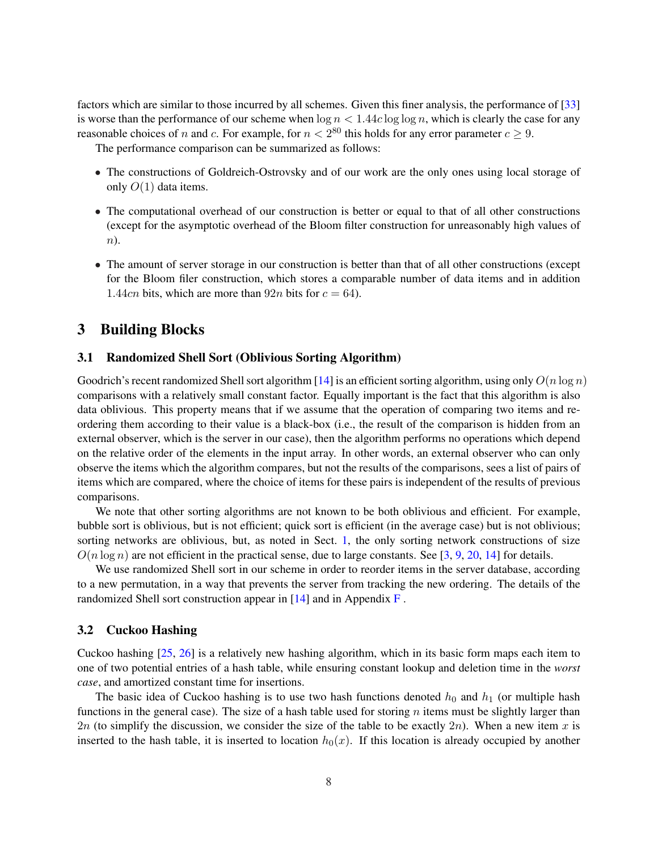factors which are similar to those incurred by all schemes. Given this finer analysis, the performance of [33] is worse than the performance of our scheme when  $\log n < 1.44c \log \log n$ , which is clearly the case for any reasonable choices of *n* and *c*. For example, for  $n < 2^{80}$  this holds for any error parameter  $c \ge 9$ .

The performance comparison can be summarized as follows:

- The constructions of Goldreich-Ostrovsky and of our work are the only ones using local storage of only  $O(1)$  data items.
- The computational overhead of our construction is better or equal to that of all other constructions (except for the asymptotic overhead of the Bloom filter construction for unreasonably high values of n).
- The amount of server storage in our construction is better than that of all other constructions (except for the Bloom filer construction, which stores a comparable number of data items and in addition 1.44cn bits, which are more than  $92n$  bits for  $c = 64$ ).

## 3 Building Blocks

### 3.1 Randomized Shell Sort (Oblivious Sorting Algorithm)

Goodrich's recent randomized Shell sort algorithm [14] is an efficient sorting algorithm, using only  $O(n \log n)$ comparisons with a relatively small constant factor. Equally important is the fact that this algorithm is also data oblivious. This property means that if we assume that the operation of comparing two items and reordering them according to their value is a black-box (i.e., the result of the comparison is hidden from an external observer, which is the server in our case), then the algorithm performs no operations which depend on the relative order of the elements in the input array. In other words, an external observer who can only observe the items which the algorithm compares, but not the results of the comparisons, sees a list of pairs of items which are compared, where the choice of items for these pairs is independent of the results of previous comparisons.

We note that other sorting algorithms are not known to be both oblivious and efficient. For example, bubble sort is oblivious, but is not efficient; quick sort is efficient (in the average case) but is not oblivious; sorting networks are oblivious, but, as noted in Sect. 1, the only sorting network constructions of size  $O(n \log n)$  are not efficient in the practical sense, due to large constants. See [3, 9, 20, 14] for details.

We use randomized Shell sort in our scheme in order to reorder items in the server database, according to a new permutation, in a way that prevents the server from tracking the new ordering. The details of the randomized Shell sort construction appear in [14] and in Appendix F .

#### 3.2 Cuckoo Hashing

Cuckoo hashing [25, 26] is a relatively new hashing algorithm, which in its basic form maps each item to one of two potential entries of a hash table, while ensuring constant lookup and deletion time in the *worst case*, and amortized constant time for insertions.

The basic idea of Cuckoo hashing is to use two hash functions denoted  $h_0$  and  $h_1$  (or multiple hash functions in the general case). The size of a hash table used for storing  $n$  items must be slightly larger than 2n (to simplify the discussion, we consider the size of the table to be exactly  $2n$ ). When a new item x is inserted to the hash table, it is inserted to location  $h_0(x)$ . If this location is already occupied by another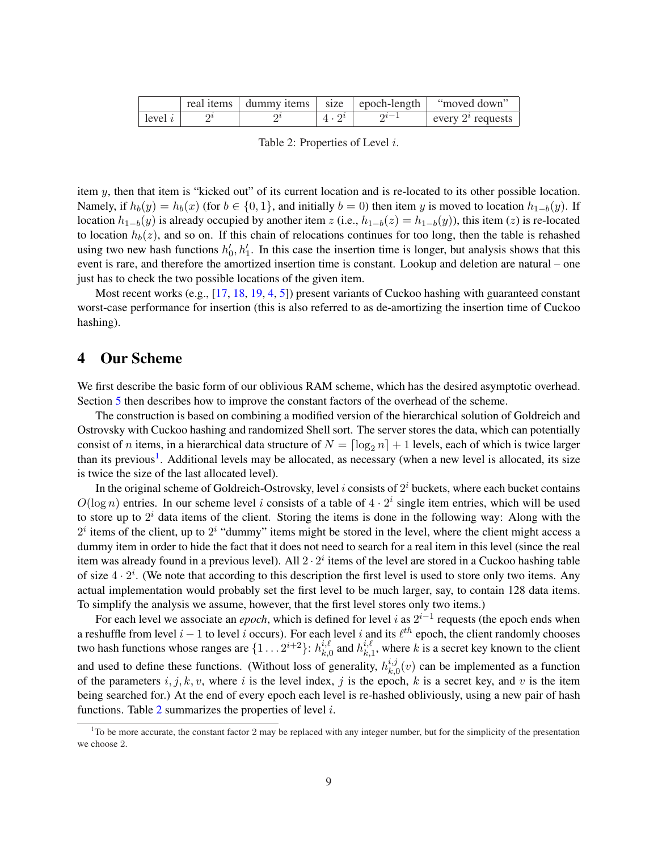|           |  |                     |              | real items   dummy items   size   epoch-length   "moved down" |
|-----------|--|---------------------|--------------|---------------------------------------------------------------|
| level $i$ |  | $\Lambda \cdot 2^i$ | $\Omega - 1$ | every $2^i$ requests                                          |

Table 2: Properties of Level i.

item y, then that item is "kicked out" of its current location and is re-located to its other possible location. Namely, if  $h_b(y) = h_b(x)$  (for  $b \in \{0, 1\}$ , and initially  $b = 0$ ) then item y is moved to location  $h_{1-b}(y)$ . If location  $h_{1-b}(y)$  is already occupied by another item z (i.e.,  $h_{1-b}(z) = h_{1-b}(y)$ ), this item (z) is re-located to location  $h_b(z)$ , and so on. If this chain of relocations continues for too long, then the table is rehashed using two new hash functions  $h'_0, h'_1$ . In this case the insertion time is longer, but analysis shows that this event is rare, and therefore the amortized insertion time is constant. Lookup and deletion are natural – one just has to check the two possible locations of the given item.

Most recent works (e.g., [17, 18, 19, 4, 5]) present variants of Cuckoo hashing with guaranteed constant worst-case performance for insertion (this is also referred to as de-amortizing the insertion time of Cuckoo hashing).

## 4 Our Scheme

We first describe the basic form of our oblivious RAM scheme, which has the desired asymptotic overhead. Section 5 then describes how to improve the constant factors of the overhead of the scheme.

The construction is based on combining a modified version of the hierarchical solution of Goldreich and Ostrovsky with Cuckoo hashing and randomized Shell sort. The server stores the data, which can potentially consist of n items, in a hierarchical data structure of  $N = \lceil \log_2 n \rceil + 1$  levels, each of which is twice larger than its previous<sup>1</sup>. Additional levels may be allocated, as necessary (when a new level is allocated, its size is twice the size of the last allocated level).

In the original scheme of Goldreich-Ostrovsky, level i consists of  $2<sup>i</sup>$  buckets, where each bucket contains  $O(\log n)$  entries. In our scheme level i consists of a table of  $4 \cdot 2^i$  single item entries, which will be used to store up to  $2<sup>i</sup>$  data items of the client. Storing the items is done in the following way: Along with the  $2<sup>i</sup>$  items of the client, up to  $2<sup>i</sup>$  "dummy" items might be stored in the level, where the client might access a dummy item in order to hide the fact that it does not need to search for a real item in this level (since the real item was already found in a previous level). All  $2 \cdot 2^i$  items of the level are stored in a Cuckoo hashing table of size  $4 \cdot 2^i$ . (We note that according to this description the first level is used to store only two items. Any actual implementation would probably set the first level to be much larger, say, to contain 128 data items. To simplify the analysis we assume, however, that the first level stores only two items.)

For each level we associate an *epoch*, which is defined for level i as  $2^{i-1}$  requests (the epoch ends when a reshuffle from level  $i - 1$  to level i occurs). For each level i and its  $\ell^{th}$  epoch, the client randomly chooses two hash functions whose ranges are  $\{1 \dots 2^{i+2}\}$ :  $h_k^{i,\ell}$  $_{k,0}^{i,\ell}$  and  $h_{k,1}^{i,\ell}$  $_{k,1}^{i,\ell}$ , where k is a secret key known to the client and used to define these functions. (Without loss of generality,  $h_k^{i,j}$  $k,0<sup>i, j</sup>(v)$  can be implemented as a function of the parameters  $i, j, k, v$ , where i is the level index, j is the epoch, k is a secret key, and v is the item being searched for.) At the end of every epoch each level is re-hashed obliviously, using a new pair of hash functions. Table 2 summarizes the properties of level i.

<sup>&</sup>lt;sup>1</sup>To be more accurate, the constant factor 2 may be replaced with any integer number, but for the simplicity of the presentation we choose 2.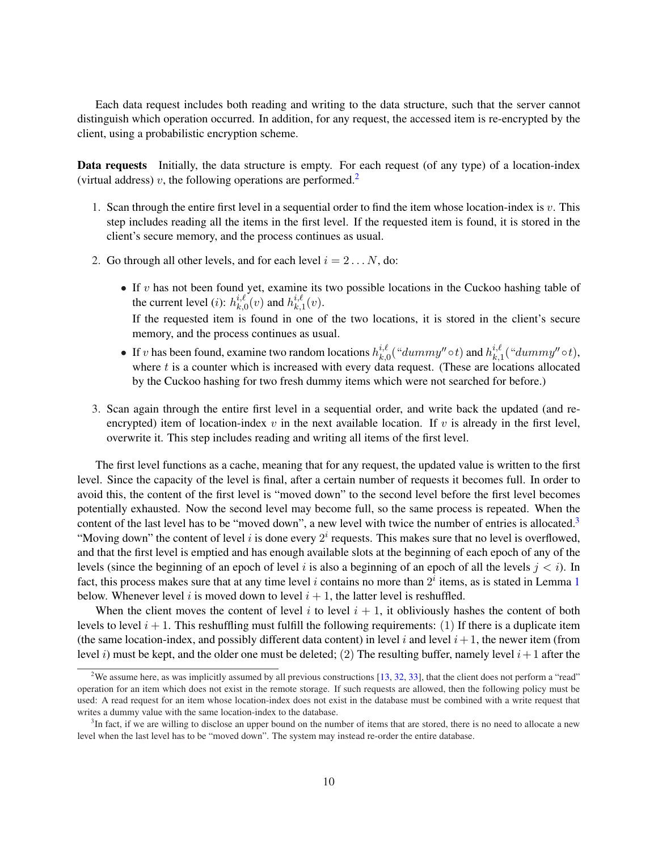Each data request includes both reading and writing to the data structure, such that the server cannot distinguish which operation occurred. In addition, for any request, the accessed item is re-encrypted by the client, using a probabilistic encryption scheme.

Data requests Initially, the data structure is empty. For each request (of any type) of a location-index (virtual address) v, the following operations are performed.<sup>2</sup>

- 1. Scan through the entire first level in a sequential order to find the item whose location-index is  $v$ . This step includes reading all the items in the first level. If the requested item is found, it is stored in the client's secure memory, and the process continues as usual.
- 2. Go through all other levels, and for each level  $i = 2...N$ , do:
	- If v has not been found yet, examine its two possible locations in the Cuckoo hashing table of the current level (*i*):  $h_k^{i,\ell}$  $h_{k,0}^{i,\ell}(v)$  and  $h_{k,0}^{i,\ell}$  $_{k,1}^{\imath,\ell}(v).$ If the requested item is found in one of the two locations, it is stored in the client's secure memory, and the process continues as usual.
	- If v has been found, examine two random locations  $h_k^{i,\ell}$  $_{k,0}^{i,\ell}$  (" $dummy''\!\circ\! t)$  and  $h_{k,1}^{i,\ell}$  $_{k,1}^{i,\ell}$ ("dummy″  $\circ t$ ), where  $t$  is a counter which is increased with every data request. (These are locations allocated by the Cuckoo hashing for two fresh dummy items which were not searched for before.)
- 3. Scan again through the entire first level in a sequential order, and write back the updated (and reencrypted) item of location-index  $v$  in the next available location. If  $v$  is already in the first level, overwrite it. This step includes reading and writing all items of the first level.

The first level functions as a cache, meaning that for any request, the updated value is written to the first level. Since the capacity of the level is final, after a certain number of requests it becomes full. In order to avoid this, the content of the first level is "moved down" to the second level before the first level becomes potentially exhausted. Now the second level may become full, so the same process is repeated. When the content of the last level has to be "moved down", a new level with twice the number of entries is allocated.<sup>3</sup> "Moving down" the content of level i is done every  $2^i$  requests. This makes sure that no level is overflowed, and that the first level is emptied and has enough available slots at the beginning of each epoch of any of the levels (since the beginning of an epoch of level i is also a beginning of an epoch of all the levels  $j < i$ ). In fact, this process makes sure that at any time level i contains no more than  $2<sup>i</sup>$  items, as is stated in Lemma 1 below. Whenever level i is moved down to level  $i + 1$ , the latter level is reshuffled.

When the client moves the content of level i to level  $i + 1$ , it obliviously hashes the content of both levels to level  $i + 1$ . This reshuffling must fulfill the following requirements: (1) If there is a duplicate item (the same location-index, and possibly different data content) in level i and level  $i+1$ , the newer item (from level i) must be kept, and the older one must be deleted; (2) The resulting buffer, namely level  $i+1$  after the

<sup>&</sup>lt;sup>2</sup>We assume here, as was implicitly assumed by all previous constructions [13, 32, 33], that the client does not perform a "read" operation for an item which does not exist in the remote storage. If such requests are allowed, then the following policy must be used: A read request for an item whose location-index does not exist in the database must be combined with a write request that writes a dummy value with the same location-index to the database.

 ${}^{3}$ In fact, if we are willing to disclose an upper bound on the number of items that are stored, there is no need to allocate a new level when the last level has to be "moved down". The system may instead re-order the entire database.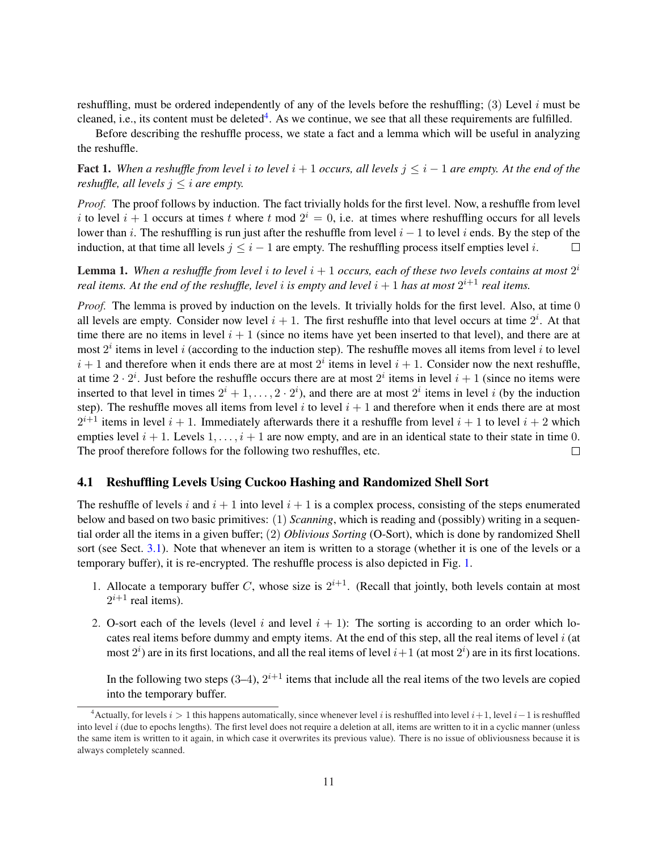reshuffling, must be ordered independently of any of the levels before the reshuffling; (3) Level  $i$  must be cleaned, i.e., its content must be deleted<sup>4</sup>. As we continue, we see that all these requirements are fulfilled.

Before describing the reshuffle process, we state a fact and a lemma which will be useful in analyzing the reshuffle.

**Fact 1.** When a reshuffle from level i to level  $i + 1$  occurs, all levels  $j \leq i - 1$  are empty. At the end of the *reshuffle, all levels*  $j \leq i$  *are empty.* 

*Proof.* The proof follows by induction. The fact trivially holds for the first level. Now, a reshuffle from level i to level  $i + 1$  occurs at times t where t mod  $2^{i} = 0$ , i.e. at times where reshuffling occurs for all levels lower than i. The reshuffling is run just after the reshuffle from level  $i - 1$  to level i ends. By the step of the induction, at that time all levels  $j \leq i - 1$  are empty. The reshuffling process itself empties level i.  $\Box$ 

**Lemma 1.** When a reshuffle from level i to level  $i + 1$  occurs, each of these two levels contains at most  $2^{i}$ *real items. At the end of the reshuffle, level i is empty and level*  $i + 1$  *has at most*  $2^{i+1}$  *real items.* 

*Proof.* The lemma is proved by induction on the levels. It trivially holds for the first level. Also, at time 0 all levels are empty. Consider now level  $i + 1$ . The first reshuffle into that level occurs at time  $2^i$ . At that time there are no items in level  $i + 1$  (since no items have yet been inserted to that level), and there are at most  $2^i$  items in level i (according to the induction step). The reshuffle moves all items from level i to level  $i + 1$  and therefore when it ends there are at most  $2^{i}$  items in level  $i + 1$ . Consider now the next reshuffle, at time  $2 \cdot 2^i$ . Just before the reshuffle occurs there are at most  $2^i$  items in level  $i + 1$  (since no items were inserted to that level in times  $2^i + 1, \ldots, 2 \cdot 2^i$ , and there are at most  $2^i$  items in level i (by the induction step). The reshuffle moves all items from level i to level  $i + 1$  and therefore when it ends there are at most  $2^{i+1}$  items in level  $i + 1$ . Immediately afterwards there it a reshuffle from level  $i + 1$  to level  $i + 2$  which empties level  $i + 1$ . Levels  $1, \ldots, i + 1$  are now empty, and are in an identical state to their state in time 0. The proof therefore follows for the following two reshuffles, etc.  $\Box$ 

#### 4.1 Reshuffling Levels Using Cuckoo Hashing and Randomized Shell Sort

The reshuffle of levels i and  $i + 1$  into level  $i + 1$  is a complex process, consisting of the steps enumerated below and based on two basic primitives: (1) *Scanning*, which is reading and (possibly) writing in a sequential order all the items in a given buffer; (2) *Oblivious Sorting* (O-Sort), which is done by randomized Shell sort (see Sect. 3.1). Note that whenever an item is written to a storage (whether it is one of the levels or a temporary buffer), it is re-encrypted. The reshuffle process is also depicted in Fig. 1.

- 1. Allocate a temporary buffer C, whose size is  $2^{i+1}$ . (Recall that jointly, both levels contain at most  $2^{i+1}$  real items).
- 2. O-sort each of the levels (level i and level  $i + 1$ ): The sorting is according to an order which locates real items before dummy and empty items. At the end of this step, all the real items of level  $i$  (at most  $2^i$ ) are in its first locations, and all the real items of level  $i+1$  (at most  $2^i$ ) are in its first locations.

In the following two steps  $(3-4)$ ,  $2^{i+1}$  items that include all the real items of the two levels are copied into the temporary buffer.

<sup>&</sup>lt;sup>4</sup>Actually, for levels  $i > 1$  this happens automatically, since whenever level i is reshuffled into level  $i + 1$ , level  $i - 1$  is reshuffled into level  $i$  (due to epochs lengths). The first level does not require a deletion at all, items are written to it in a cyclic manner (unless the same item is written to it again, in which case it overwrites its previous value). There is no issue of obliviousness because it is always completely scanned.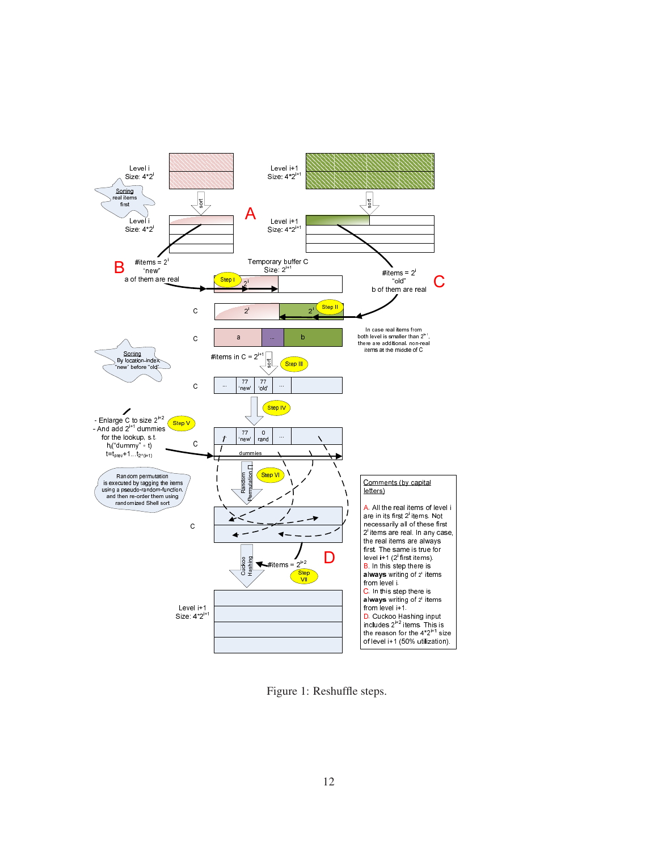

Figure 1: Reshuffle steps.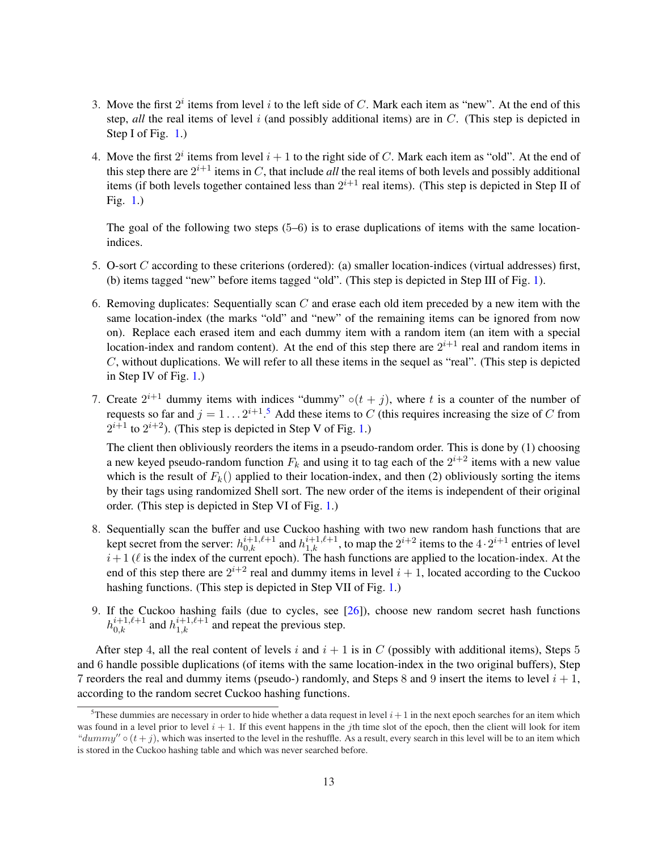- 3. Move the first  $2^i$  items from level i to the left side of C. Mark each item as "new". At the end of this step, *all* the real items of level i (and possibly additional items) are in C. (This step is depicted in Step I of Fig. 1.)
- 4. Move the first  $2^i$  items from level  $i + 1$  to the right side of C. Mark each item as "old". At the end of this step there are  $2^{i+1}$  items in C, that include *all* the real items of both levels and possibly additional items (if both levels together contained less than  $2^{i+1}$  real items). (This step is depicted in Step II of Fig. 1.)

The goal of the following two steps (5–6) is to erase duplications of items with the same locationindices.

- 5. O-sort C according to these criterions (ordered): (a) smaller location-indices (virtual addresses) first, (b) items tagged "new" before items tagged "old". (This step is depicted in Step III of Fig. 1).
- 6. Removing duplicates: Sequentially scan  $C$  and erase each old item preceded by a new item with the same location-index (the marks "old" and "new" of the remaining items can be ignored from now on). Replace each erased item and each dummy item with a random item (an item with a special location-index and random content). At the end of this step there are  $2^{i+1}$  real and random items in  $C$ , without duplications. We will refer to all these items in the sequel as "real". (This step is depicted in Step IV of Fig. 1.)
- 7. Create  $2^{i+1}$  dummy items with indices "dummy"  $\circ(t+j)$ , where t is a counter of the number of requests so far and  $j = 1 \dots 2^{i+1}$ .<sup>5</sup> Add these items to C (this requires increasing the size of C from  $2^{i+1}$  to  $2^{i+2}$ ). (This step is depicted in Step V of Fig. 1.)

The client then obliviously reorders the items in a pseudo-random order. This is done by (1) choosing a new keyed pseudo-random function  $F_k$  and using it to tag each of the  $2^{i+2}$  items with a new value which is the result of  $F_k()$  applied to their location-index, and then (2) obliviously sorting the items by their tags using randomized Shell sort. The new order of the items is independent of their original order. (This step is depicted in Step VI of Fig. 1.)

- 8. Sequentially scan the buffer and use Cuckoo hashing with two new random hash functions that are kept secret from the server:  $h_{0,k}^{i+1,\ell+1}$  and  $h_{1,k}^{i+1,\ell+1}$ , to map the  $2^{i+2}$  items to the  $4 \cdot 2^{i+1}$  entries of level  $i+1$  ( $\ell$  is the index of the current epoch). The hash functions are applied to the location-index. At the end of this step there are  $2^{i+2}$  real and dummy items in level  $i + 1$ , located according to the Cuckoo hashing functions. (This step is depicted in Step VII of Fig. 1.)
- 9. If the Cuckoo hashing fails (due to cycles, see [26]), choose new random secret hash functions  $h_{0,k}^{i+1,\ell+1}$  and  $h_{1,k}^{i+1,\ell+1}$  and repeat the previous step.

After step 4, all the real content of levels i and  $i + 1$  is in C (possibly with additional items), Steps 5 and 6 handle possible duplications (of items with the same location-index in the two original buffers), Step 7 reorders the real and dummy items (pseudo-) randomly, and Steps 8 and 9 insert the items to level  $i + 1$ , according to the random secret Cuckoo hashing functions.

<sup>&</sup>lt;sup>5</sup>These dummies are necessary in order to hide whether a data request in level  $i+1$  in the next epoch searches for an item which was found in a level prior to level  $i + 1$ . If this event happens in the jth time slot of the epoch, then the client will look for item "dummy"  $\circ$  (t + j), which was inserted to the level in the reshuffle. As a result, every search in this level will be to an item which is stored in the Cuckoo hashing table and which was never searched before.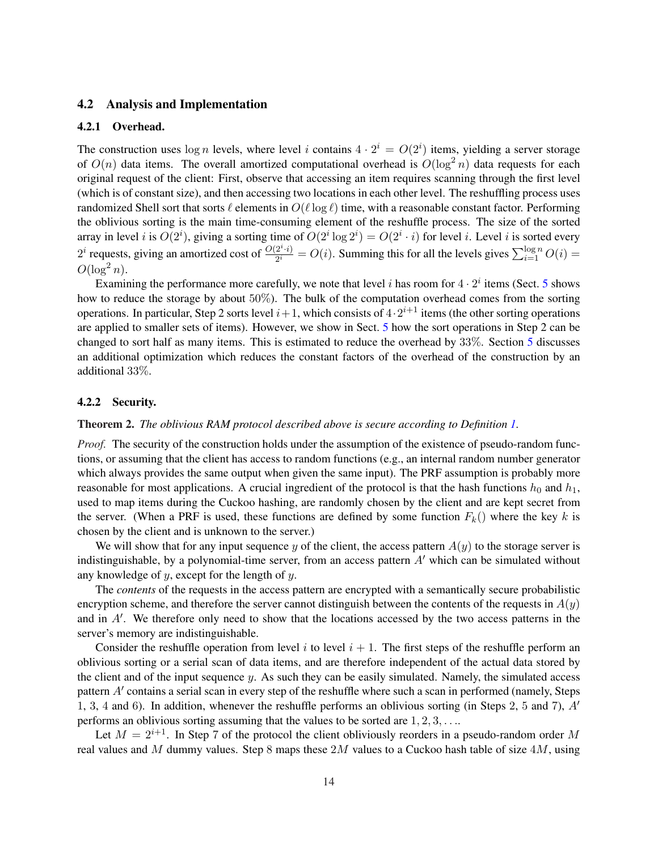#### 4.2 Analysis and Implementation

#### 4.2.1 Overhead.

The construction uses  $\log n$  levels, where level i contains  $4 \cdot 2^i = O(2^i)$  items, yielding a server storage of  $O(n)$  data items. The overall amortized computational overhead is  $O(\log^2 n)$  data requests for each original request of the client: First, observe that accessing an item requires scanning through the first level (which is of constant size), and then accessing two locations in each other level. The reshuffling process uses randomized Shell sort that sorts  $\ell$  elements in  $O(\ell \log \ell)$  time, with a reasonable constant factor. Performing the oblivious sorting is the main time-consuming element of the reshuffle process. The size of the sorted array in level i is  $O(2^i)$ , giving a sorting time of  $O(2^i \log 2^i) = O(2^i \cdot i)$  for level i. Level i is sorted every  $2^i$  requests, giving an amortized cost of  $\frac{O(2^i \cdot i)}{2^i}$  $\frac{(2^i \cdot i)}{2^{i}} = O(i)$ . Summing this for all the levels gives  $\sum_{i=1}^{\log n} O(i) =$  $O(\log^2 n)$ .

Examining the performance more carefully, we note that level i has room for  $4 \cdot 2^i$  items (Sect. 5 shows how to reduce the storage by about 50%). The bulk of the computation overhead comes from the sorting operations. In particular, Step 2 sorts level  $i+1$ , which consists of  $4 \cdot 2^{i+1}$  items (the other sorting operations are applied to smaller sets of items). However, we show in Sect. 5 how the sort operations in Step 2 can be changed to sort half as many items. This is estimated to reduce the overhead by 33%. Section 5 discusses an additional optimization which reduces the constant factors of the overhead of the construction by an additional 33%.

#### 4.2.2 Security.

#### Theorem 2. *The oblivious RAM protocol described above is secure according to Definition 1.*

*Proof.* The security of the construction holds under the assumption of the existence of pseudo-random functions, or assuming that the client has access to random functions (e.g., an internal random number generator which always provides the same output when given the same input). The PRF assumption is probably more reasonable for most applications. A crucial ingredient of the protocol is that the hash functions  $h_0$  and  $h_1$ , used to map items during the Cuckoo hashing, are randomly chosen by the client and are kept secret from the server. (When a PRF is used, these functions are defined by some function  $F_k()$  where the key k is chosen by the client and is unknown to the server.)

We will show that for any input sequence y of the client, the access pattern  $A(y)$  to the storage server is indistinguishable, by a polynomial-time server, from an access pattern  $A'$  which can be simulated without any knowledge of  $y$ , except for the length of  $y$ .

The *contents* of the requests in the access pattern are encrypted with a semantically secure probabilistic encryption scheme, and therefore the server cannot distinguish between the contents of the requests in  $A(y)$ and in  $A'$ . We therefore only need to show that the locations accessed by the two access patterns in the server's memory are indistinguishable.

Consider the reshuffle operation from level i to level  $i + 1$ . The first steps of the reshuffle perform an oblivious sorting or a serial scan of data items, and are therefore independent of the actual data stored by the client and of the input sequence y. As such they can be easily simulated. Namely, the simulated access pattern A' contains a serial scan in every step of the reshuffle where such a scan in performed (namely, Steps 1, 3, 4 and 6). In addition, whenever the reshuffle performs an oblivious sorting (in Steps 2, 5 and 7),  $A<sup>'</sup>$ performs an oblivious sorting assuming that the values to be sorted are 1, 2, 3, . . ..

Let  $M = 2^{i+1}$ . In Step 7 of the protocol the client obliviously reorders in a pseudo-random order M real values and M dummy values. Step 8 maps these  $2M$  values to a Cuckoo hash table of size  $4M$ , using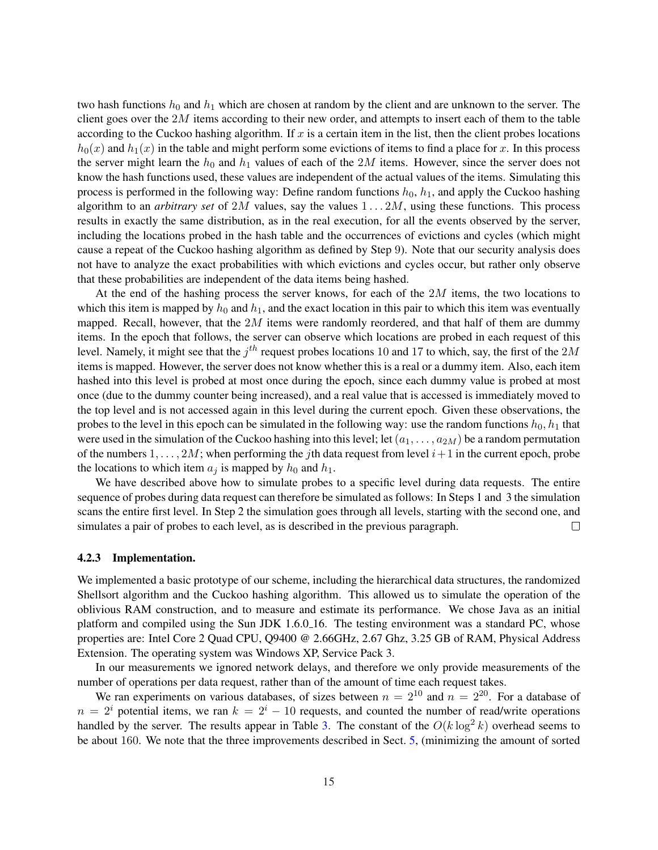two hash functions  $h_0$  and  $h_1$  which are chosen at random by the client and are unknown to the server. The client goes over the  $2M$  items according to their new order, and attempts to insert each of them to the table according to the Cuckoo hashing algorithm. If  $x$  is a certain item in the list, then the client probes locations  $h_0(x)$  and  $h_1(x)$  in the table and might perform some evictions of items to find a place for x. In this process the server might learn the  $h_0$  and  $h_1$  values of each of the 2M items. However, since the server does not know the hash functions used, these values are independent of the actual values of the items. Simulating this process is performed in the following way: Define random functions  $h_0$ ,  $h_1$ , and apply the Cuckoo hashing algorithm to an *arbitrary set* of 2*M* values, say the values  $1 \dots 2M$ , using these functions. This process results in exactly the same distribution, as in the real execution, for all the events observed by the server, including the locations probed in the hash table and the occurrences of evictions and cycles (which might cause a repeat of the Cuckoo hashing algorithm as defined by Step 9). Note that our security analysis does not have to analyze the exact probabilities with which evictions and cycles occur, but rather only observe that these probabilities are independent of the data items being hashed.

At the end of the hashing process the server knows, for each of the 2M items, the two locations to which this item is mapped by  $h_0$  and  $h_1$ , and the exact location in this pair to which this item was eventually mapped. Recall, however, that the  $2M$  items were randomly reordered, and that half of them are dummy items. In the epoch that follows, the server can observe which locations are probed in each request of this level. Namely, it might see that the  $j^{th}$  request probes locations 10 and 17 to which, say, the first of the  $2M$ items is mapped. However, the server does not know whether this is a real or a dummy item. Also, each item hashed into this level is probed at most once during the epoch, since each dummy value is probed at most once (due to the dummy counter being increased), and a real value that is accessed is immediately moved to the top level and is not accessed again in this level during the current epoch. Given these observations, the probes to the level in this epoch can be simulated in the following way: use the random functions  $h_0$ ,  $h_1$  that were used in the simulation of the Cuckoo hashing into this level; let  $(a_1, \ldots, a_{2M})$  be a random permutation of the numbers  $1, \ldots, 2M$ ; when performing the *j*th data request from level  $i+1$  in the current epoch, probe the locations to which item  $a_i$  is mapped by  $h_0$  and  $h_1$ .

We have described above how to simulate probes to a specific level during data requests. The entire sequence of probes during data request can therefore be simulated as follows: In Steps 1 and 3 the simulation scans the entire first level. In Step 2 the simulation goes through all levels, starting with the second one, and simulates a pair of probes to each level, as is described in the previous paragraph.  $\Box$ 

#### 4.2.3 Implementation.

We implemented a basic prototype of our scheme, including the hierarchical data structures, the randomized Shellsort algorithm and the Cuckoo hashing algorithm. This allowed us to simulate the operation of the oblivious RAM construction, and to measure and estimate its performance. We chose Java as an initial platform and compiled using the Sun JDK 1.6.0 16. The testing environment was a standard PC, whose properties are: Intel Core 2 Quad CPU, Q9400 @ 2.66GHz, 2.67 Ghz, 3.25 GB of RAM, Physical Address Extension. The operating system was Windows XP, Service Pack 3.

In our measurements we ignored network delays, and therefore we only provide measurements of the number of operations per data request, rather than of the amount of time each request takes.

We ran experiments on various databases, of sizes between  $n = 2^{10}$  and  $n = 2^{20}$ . For a database of  $n = 2<sup>i</sup>$  potential items, we ran  $k = 2<sup>i</sup> - 10$  requests, and counted the number of read/write operations handled by the server. The results appear in Table 3. The constant of the  $O(k \log^2 k)$  overhead seems to be about 160. We note that the three improvements described in Sect. 5, (minimizing the amount of sorted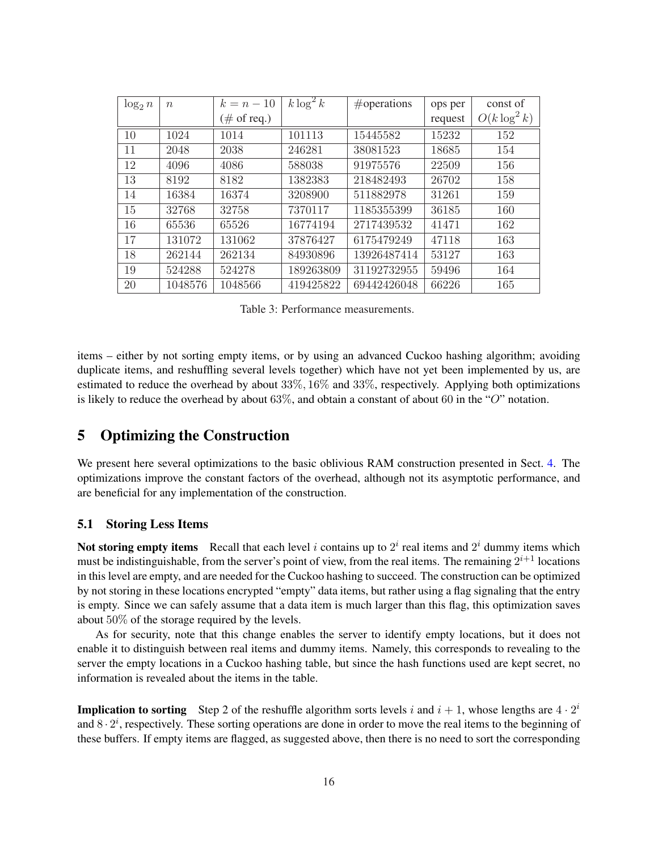| $\log_2 n$ | $\boldsymbol{n}$ | $k = n - 10$                   | $k \log^2 k$ | #operations | ops per | const of        |
|------------|------------------|--------------------------------|--------------|-------------|---------|-----------------|
|            |                  | $(\# \text{ of } \text{req.})$ |              |             | request | $O(k \log^2 k)$ |
| 10         | 1024             | 1014                           | 101113       | 15445582    | 15232   | 152             |
| 11         | 2048             | 2038                           | 246281       | 38081523    | 18685   | 154             |
| 12         | 4096             | 4086                           | 588038       | 91975576    | 22509   | 156             |
| 13         | 8192             | 8182                           | 1382383      | 218482493   | 26702   | 158             |
| 14         | 16384            | 16374                          | 3208900      | 511882978   | 31261   | 159             |
| 15         | 32768            | 32758                          | 7370117      | 1185355399  | 36185   | 160             |
| 16         | 65536            | 65526                          | 16774194     | 2717439532  | 41471   | 162             |
| 17         | 131072           | 131062                         | 37876427     | 6175479249  | 47118   | 163             |
| 18         | 262144           | 262134                         | 84930896     | 13926487414 | 53127   | 163             |
| 19         | 524288           | 524278                         | 189263809    | 31192732955 | 59496   | 164             |
| 20         | 1048576          | 1048566                        | 419425822    | 69442426048 | 66226   | 165             |

Table 3: Performance measurements.

items – either by not sorting empty items, or by using an advanced Cuckoo hashing algorithm; avoiding duplicate items, and reshuffling several levels together) which have not yet been implemented by us, are estimated to reduce the overhead by about 33%, 16% and 33%, respectively. Applying both optimizations is likely to reduce the overhead by about 63%, and obtain a constant of about 60 in the "O" notation.

## 5 Optimizing the Construction

We present here several optimizations to the basic oblivious RAM construction presented in Sect. 4. The optimizations improve the constant factors of the overhead, although not its asymptotic performance, and are beneficial for any implementation of the construction.

## 5.1 Storing Less Items

Not storing empty items Recall that each level i contains up to  $2^i$  real items and  $2^i$  dummy items which must be indistinguishable, from the server's point of view, from the real items. The remaining  $2^{i+1}$  locations in this level are empty, and are needed for the Cuckoo hashing to succeed. The construction can be optimized by not storing in these locations encrypted "empty" data items, but rather using a flag signaling that the entry is empty. Since we can safely assume that a data item is much larger than this flag, this optimization saves about 50% of the storage required by the levels.

As for security, note that this change enables the server to identify empty locations, but it does not enable it to distinguish between real items and dummy items. Namely, this corresponds to revealing to the server the empty locations in a Cuckoo hashing table, but since the hash functions used are kept secret, no information is revealed about the items in the table.

**Implication to sorting** Step 2 of the reshuffle algorithm sorts levels i and  $i + 1$ , whose lengths are  $4 \cdot 2^i$ and  $8 \cdot 2^i$ , respectively. These sorting operations are done in order to move the real items to the beginning of these buffers. If empty items are flagged, as suggested above, then there is no need to sort the corresponding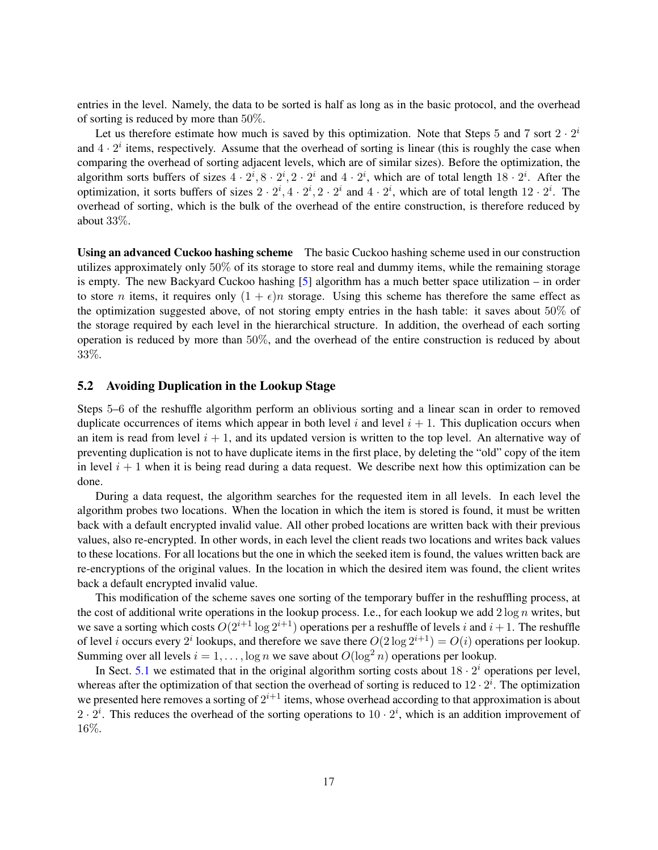entries in the level. Namely, the data to be sorted is half as long as in the basic protocol, and the overhead of sorting is reduced by more than 50%.

Let us therefore estimate how much is saved by this optimization. Note that Steps 5 and 7 sort  $2 \cdot 2^i$ and  $4 \cdot 2^{i}$  items, respectively. Assume that the overhead of sorting is linear (this is roughly the case when comparing the overhead of sorting adjacent levels, which are of similar sizes). Before the optimization, the algorithm sorts buffers of sizes  $4 \cdot 2^i$ ,  $8 \cdot 2^i$ ,  $2 \cdot 2^i$  and  $4 \cdot 2^i$ , which are of total length  $18 \cdot 2^i$ . After the optimization, it sorts buffers of sizes  $2 \cdot 2^i$ ,  $4 \cdot 2^i$ ,  $2 \cdot 2^i$  and  $4 \cdot 2^i$ , which are of total length  $12 \cdot 2^i$ . The overhead of sorting, which is the bulk of the overhead of the entire construction, is therefore reduced by about 33%.

Using an advanced Cuckoo hashing scheme The basic Cuckoo hashing scheme used in our construction utilizes approximately only 50% of its storage to store real and dummy items, while the remaining storage is empty. The new Backyard Cuckoo hashing [5] algorithm has a much better space utilization – in order to store n items, it requires only  $(1 + \epsilon)n$  storage. Using this scheme has therefore the same effect as the optimization suggested above, of not storing empty entries in the hash table: it saves about 50% of the storage required by each level in the hierarchical structure. In addition, the overhead of each sorting operation is reduced by more than 50%, and the overhead of the entire construction is reduced by about 33%.

### 5.2 Avoiding Duplication in the Lookup Stage

Steps 5–6 of the reshuffle algorithm perform an oblivious sorting and a linear scan in order to removed duplicate occurrences of items which appear in both level i and level  $i + 1$ . This duplication occurs when an item is read from level  $i + 1$ , and its updated version is written to the top level. An alternative way of preventing duplication is not to have duplicate items in the first place, by deleting the "old" copy of the item in level  $i + 1$  when it is being read during a data request. We describe next how this optimization can be done.

During a data request, the algorithm searches for the requested item in all levels. In each level the algorithm probes two locations. When the location in which the item is stored is found, it must be written back with a default encrypted invalid value. All other probed locations are written back with their previous values, also re-encrypted. In other words, in each level the client reads two locations and writes back values to these locations. For all locations but the one in which the seeked item is found, the values written back are re-encryptions of the original values. In the location in which the desired item was found, the client writes back a default encrypted invalid value.

This modification of the scheme saves one sorting of the temporary buffer in the reshuffling process, at the cost of additional write operations in the lookup process. I.e., for each lookup we add  $2 \log n$  writes, but we save a sorting which costs  $O(2^{i+1} \log 2^{i+1})$  operations per a reshuffle of levels i and  $i+1$ . The reshuffle of level *i* occurs every 2<sup>*i*</sup> lookups, and therefore we save there  $O(2 \log 2^{i+1}) = O(i)$  operations per lookup. Summing over all levels  $i = 1, \ldots, \log n$  we save about  $O(\log^2 n)$  operations per lookup.

In Sect. 5.1 we estimated that in the original algorithm sorting costs about  $18 \cdot 2^i$  operations per level, whereas after the optimization of that section the overhead of sorting is reduced to  $12 \cdot 2^i$ . The optimization we presented here removes a sorting of  $2^{i+1}$  items, whose overhead according to that approximation is about  $2 \cdot 2^i$ . This reduces the overhead of the sorting operations to  $10 \cdot 2^i$ , which is an addition improvement of 16%.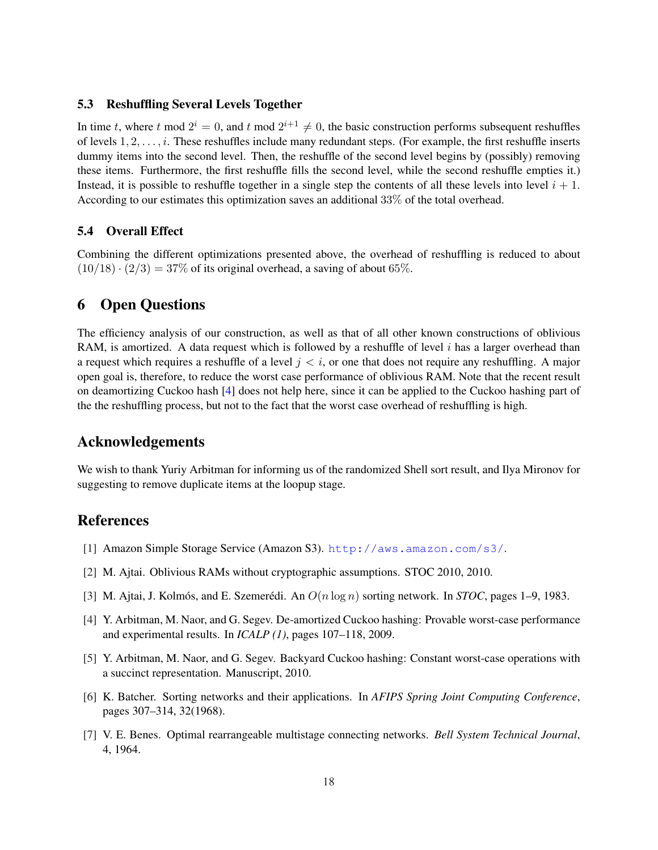### 5.3 Reshuffling Several Levels Together

In time t, where t mod  $2^i = 0$ , and t mod  $2^{i+1} \neq 0$ , the basic construction performs subsequent reshuffles of levels  $1, 2, \ldots, i$ . These reshuffles include many redundant steps. (For example, the first reshuffle inserts dummy items into the second level. Then, the reshuffle of the second level begins by (possibly) removing these items. Furthermore, the first reshuffle fills the second level, while the second reshuffle empties it.) Instead, it is possible to reshuffle together in a single step the contents of all these levels into level  $i + 1$ . According to our estimates this optimization saves an additional 33% of the total overhead.

### 5.4 Overall Effect

Combining the different optimizations presented above, the overhead of reshuffling is reduced to about  $(10/18) \cdot (2/3) = 37\%$  of its original overhead, a saving of about 65%.

## 6 Open Questions

The efficiency analysis of our construction, as well as that of all other known constructions of oblivious RAM, is amortized. A data request which is followed by a reshuffle of level  $i$  has a larger overhead than a request which requires a reshuffle of a level  $j < i$ , or one that does not require any reshuffling. A major open goal is, therefore, to reduce the worst case performance of oblivious RAM. Note that the recent result on deamortizing Cuckoo hash [4] does not help here, since it can be applied to the Cuckoo hashing part of the the reshuffling process, but not to the fact that the worst case overhead of reshuffling is high.

## Acknowledgements

We wish to thank Yuriy Arbitman for informing us of the randomized Shell sort result, and Ilya Mironov for suggesting to remove duplicate items at the loopup stage.

## **References**

- [1] Amazon Simple Storage Service (Amazon S3). http://aws.amazon.com/s3/.
- [2] M. Ajtai. Oblivious RAMs without cryptographic assumptions. STOC 2010, 2010.
- [3] M. Ajtai, J. Kolmós, and E. Szemerédi. An  $O(n \log n)$  sorting network. In *STOC*, pages 1–9, 1983.
- [4] Y. Arbitman, M. Naor, and G. Segev. De-amortized Cuckoo hashing: Provable worst-case performance and experimental results. In *ICALP (1)*, pages 107–118, 2009.
- [5] Y. Arbitman, M. Naor, and G. Segev. Backyard Cuckoo hashing: Constant worst-case operations with a succinct representation. Manuscript, 2010.
- [6] K. Batcher. Sorting networks and their applications. In *AFIPS Spring Joint Computing Conference*, pages 307–314, 32(1968).
- [7] V. E. Benes. Optimal rearrangeable multistage connecting networks. *Bell System Technical Journal*, 4, 1964.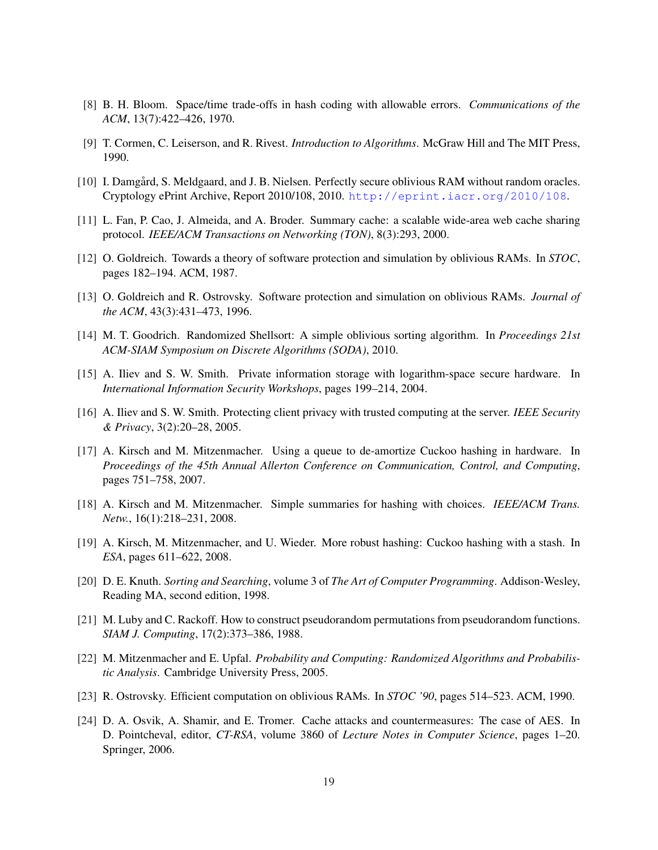- [8] B. H. Bloom. Space/time trade-offs in hash coding with allowable errors. *Communications of the ACM*, 13(7):422–426, 1970.
- [9] T. Cormen, C. Leiserson, and R. Rivest. *Introduction to Algorithms*. McGraw Hill and The MIT Press, 1990.
- [10] I. Damgård, S. Meldgaard, and J. B. Nielsen. Perfectly secure oblivious RAM without random oracles. Cryptology ePrint Archive, Report 2010/108, 2010. http://eprint.iacr.org/2010/108.
- [11] L. Fan, P. Cao, J. Almeida, and A. Broder. Summary cache: a scalable wide-area web cache sharing protocol. *IEEE/ACM Transactions on Networking (TON)*, 8(3):293, 2000.
- [12] O. Goldreich. Towards a theory of software protection and simulation by oblivious RAMs. In *STOC*, pages 182–194. ACM, 1987.
- [13] O. Goldreich and R. Ostrovsky. Software protection and simulation on oblivious RAMs. *Journal of the ACM*, 43(3):431–473, 1996.
- [14] M. T. Goodrich. Randomized Shellsort: A simple oblivious sorting algorithm. In *Proceedings 21st ACM-SIAM Symposium on Discrete Algorithms (SODA)*, 2010.
- [15] A. Iliev and S. W. Smith. Private information storage with logarithm-space secure hardware. In *International Information Security Workshops*, pages 199–214, 2004.
- [16] A. Iliev and S. W. Smith. Protecting client privacy with trusted computing at the server. *IEEE Security & Privacy*, 3(2):20–28, 2005.
- [17] A. Kirsch and M. Mitzenmacher. Using a queue to de-amortize Cuckoo hashing in hardware. In *Proceedings of the 45th Annual Allerton Conference on Communication, Control, and Computing*, pages 751–758, 2007.
- [18] A. Kirsch and M. Mitzenmacher. Simple summaries for hashing with choices. *IEEE/ACM Trans. Netw.*, 16(1):218–231, 2008.
- [19] A. Kirsch, M. Mitzenmacher, and U. Wieder. More robust hashing: Cuckoo hashing with a stash. In *ESA*, pages 611–622, 2008.
- [20] D. E. Knuth. *Sorting and Searching*, volume 3 of *The Art of Computer Programming*. Addison-Wesley, Reading MA, second edition, 1998.
- [21] M. Luby and C. Rackoff. How to construct pseudorandom permutations from pseudorandom functions. *SIAM J. Computing*, 17(2):373–386, 1988.
- [22] M. Mitzenmacher and E. Upfal. *Probability and Computing: Randomized Algorithms and Probabilistic Analysis*. Cambridge University Press, 2005.
- [23] R. Ostrovsky. Efficient computation on oblivious RAMs. In *STOC '90*, pages 514–523. ACM, 1990.
- [24] D. A. Osvik, A. Shamir, and E. Tromer. Cache attacks and countermeasures: The case of AES. In D. Pointcheval, editor, *CT-RSA*, volume 3860 of *Lecture Notes in Computer Science*, pages 1–20. Springer, 2006.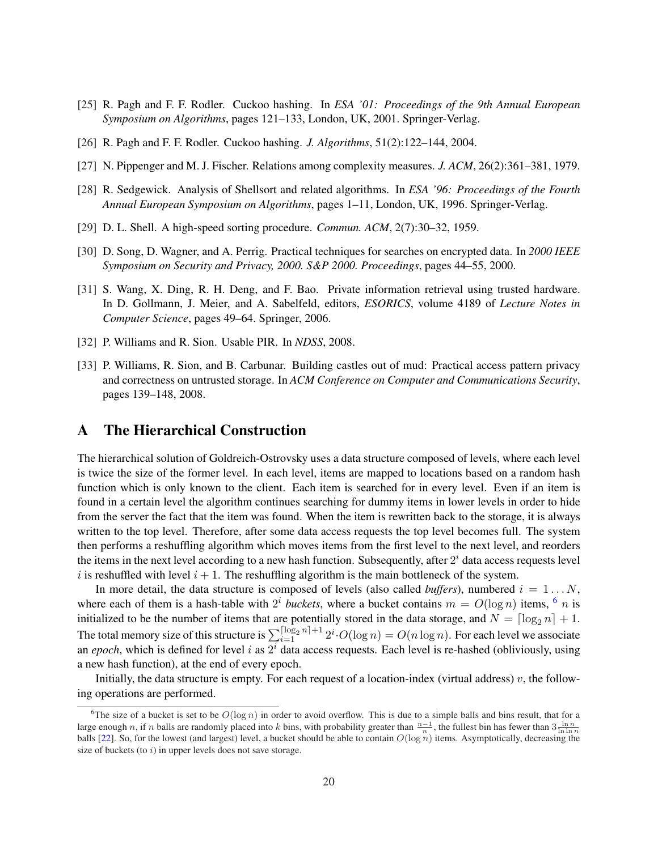- [25] R. Pagh and F. F. Rodler. Cuckoo hashing. In *ESA '01: Proceedings of the 9th Annual European Symposium on Algorithms*, pages 121–133, London, UK, 2001. Springer-Verlag.
- [26] R. Pagh and F. F. Rodler. Cuckoo hashing. *J. Algorithms*, 51(2):122–144, 2004.
- [27] N. Pippenger and M. J. Fischer. Relations among complexity measures. *J. ACM*, 26(2):361–381, 1979.
- [28] R. Sedgewick. Analysis of Shellsort and related algorithms. In *ESA '96: Proceedings of the Fourth Annual European Symposium on Algorithms*, pages 1–11, London, UK, 1996. Springer-Verlag.
- [29] D. L. Shell. A high-speed sorting procedure. *Commun. ACM*, 2(7):30–32, 1959.
- [30] D. Song, D. Wagner, and A. Perrig. Practical techniques for searches on encrypted data. In *2000 IEEE Symposium on Security and Privacy, 2000. S&P 2000. Proceedings*, pages 44–55, 2000.
- [31] S. Wang, X. Ding, R. H. Deng, and F. Bao. Private information retrieval using trusted hardware. In D. Gollmann, J. Meier, and A. Sabelfeld, editors, *ESORICS*, volume 4189 of *Lecture Notes in Computer Science*, pages 49–64. Springer, 2006.
- [32] P. Williams and R. Sion. Usable PIR. In *NDSS*, 2008.
- [33] P. Williams, R. Sion, and B. Carbunar. Building castles out of mud: Practical access pattern privacy and correctness on untrusted storage. In *ACM Conference on Computer and Communications Security*, pages 139–148, 2008.

## A The Hierarchical Construction

The hierarchical solution of Goldreich-Ostrovsky uses a data structure composed of levels, where each level is twice the size of the former level. In each level, items are mapped to locations based on a random hash function which is only known to the client. Each item is searched for in every level. Even if an item is found in a certain level the algorithm continues searching for dummy items in lower levels in order to hide from the server the fact that the item was found. When the item is rewritten back to the storage, it is always written to the top level. Therefore, after some data access requests the top level becomes full. The system then performs a reshuffling algorithm which moves items from the first level to the next level, and reorders the items in the next level according to a new hash function. Subsequently, after  $2<sup>i</sup>$  data access requests level i is reshuffled with level  $i + 1$ . The reshuffling algorithm is the main bottleneck of the system.

In more detail, the data structure is composed of levels (also called *buffers*), numbered  $i = 1...N$ , where each of them is a hash-table with  $2^i$  *buckets*, where a bucket contains  $m = O(\log n)$  items, <sup>6</sup> n is initialized to be the number of items that are potentially stored in the data storage, and  $N = \lceil \log_2 n \rceil + 1$ . The total memory size of this structure is  $\sum_{i=1}^{\lceil \log_2 n \rceil +1} 2^i \cdot O(\log n) = O(n \log n)$ . For each level we associate an *epoch*, which is defined for level i as  $2^i$  data access requests. Each level is re-hashed (obliviously, using a new hash function), at the end of every epoch.

Initially, the data structure is empty. For each request of a location-index (virtual address)  $v$ , the following operations are performed.

<sup>&</sup>lt;sup>6</sup>The size of a bucket is set to be  $O(\log n)$  in order to avoid overflow. This is due to a simple balls and bins result, that for a large enough n, if n balls are randomly placed into k bins, with probability greater than  $\frac{n-1}{n}$ , the fullest bin has fewer than  $3\frac{\ln n}{\ln \ln n}$ balls [22]. So, for the lowest (and largest) level, a bucket should be able to contain  $O(\log n)$  items. Asymptotically, decreasing the size of buckets (to  $i$ ) in upper levels does not save storage.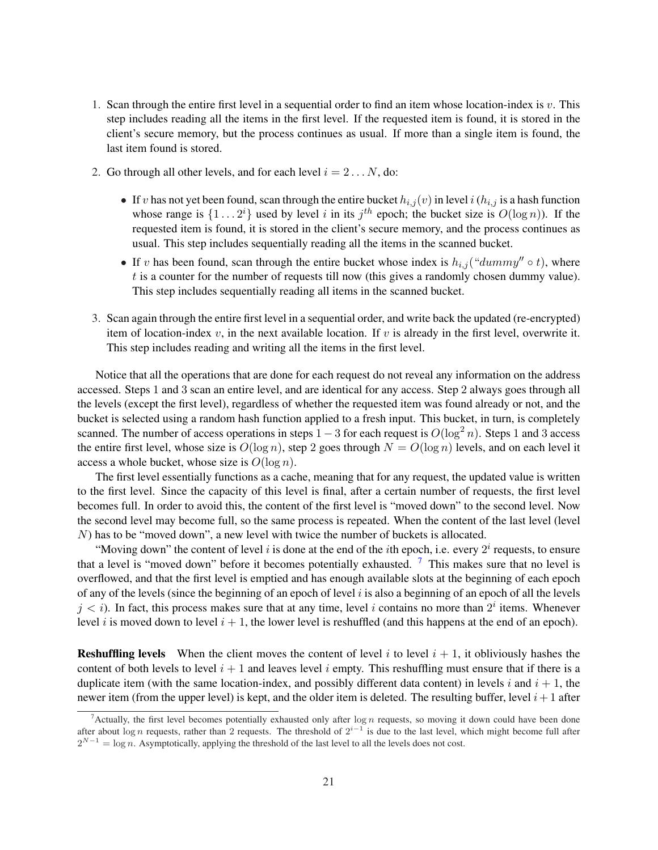- 1. Scan through the entire first level in a sequential order to find an item whose location-index is  $v$ . This step includes reading all the items in the first level. If the requested item is found, it is stored in the client's secure memory, but the process continues as usual. If more than a single item is found, the last item found is stored.
- 2. Go through all other levels, and for each level  $i = 2...N$ , do:
	- If v has not yet been found, scan through the entire bucket  $h_{i,j}(v)$  in level i  $(h_{i,j})$  is a hash function whose range is  $\{1 \dots 2^i\}$  used by level i in its  $j^{th}$  epoch; the bucket size is  $O(\log n)$ ). If the requested item is found, it is stored in the client's secure memory, and the process continues as usual. This step includes sequentially reading all the items in the scanned bucket.
	- If v has been found, scan through the entire bucket whose index is  $h_{i,j}$  ("dummy"  $\circ t$ ), where  $t$  is a counter for the number of requests till now (this gives a randomly chosen dummy value). This step includes sequentially reading all items in the scanned bucket.
- 3. Scan again through the entire first level in a sequential order, and write back the updated (re-encrypted) item of location-index v, in the next available location. If v is already in the first level, overwrite it. This step includes reading and writing all the items in the first level.

Notice that all the operations that are done for each request do not reveal any information on the address accessed. Steps 1 and 3 scan an entire level, and are identical for any access. Step 2 always goes through all the levels (except the first level), regardless of whether the requested item was found already or not, and the bucket is selected using a random hash function applied to a fresh input. This bucket, in turn, is completely scanned. The number of access operations in steps  $1 - 3$  for each request is  $O(\log^2 n)$ . Steps 1 and 3 access the entire first level, whose size is  $O(\log n)$ , step 2 goes through  $N = O(\log n)$  levels, and on each level it access a whole bucket, whose size is  $O(\log n)$ .

The first level essentially functions as a cache, meaning that for any request, the updated value is written to the first level. Since the capacity of this level is final, after a certain number of requests, the first level becomes full. In order to avoid this, the content of the first level is "moved down" to the second level. Now the second level may become full, so the same process is repeated. When the content of the last level (level N) has to be "moved down", a new level with twice the number of buckets is allocated.

"Moving down" the content of level i is done at the end of the ith epoch, i.e. every  $2^i$  requests, to ensure that a level is "moved down" before it becomes potentially exhausted.  $\frac{7}{1}$  This makes sure that no level is overflowed, and that the first level is emptied and has enough available slots at the beginning of each epoch of any of the levels (since the beginning of an epoch of level  $i$  is also a beginning of an epoch of all the levels  $j < i$ ). In fact, this process makes sure that at any time, level i contains no more than  $2<sup>i</sup>$  items. Whenever level i is moved down to level  $i + 1$ , the lower level is reshuffled (and this happens at the end of an epoch).

**Reshuffling levels** When the client moves the content of level i to level  $i + 1$ , it obliviously hashes the content of both levels to level  $i + 1$  and leaves level i empty. This reshuffling must ensure that if there is a duplicate item (with the same location-index, and possibly different data content) in levels i and  $i + 1$ , the newer item (from the upper level) is kept, and the older item is deleted. The resulting buffer, level  $i+1$  after

<sup>&</sup>lt;sup>7</sup>Actually, the first level becomes potentially exhausted only after  $\log n$  requests, so moving it down could have been done after about log *n* requests, rather than 2 requests. The threshold of  $2^{i-1}$  is due to the last level, which might become full after  $2^{N-1} = \log n$ . Asymptotically, applying the threshold of the last level to all the levels does not cost.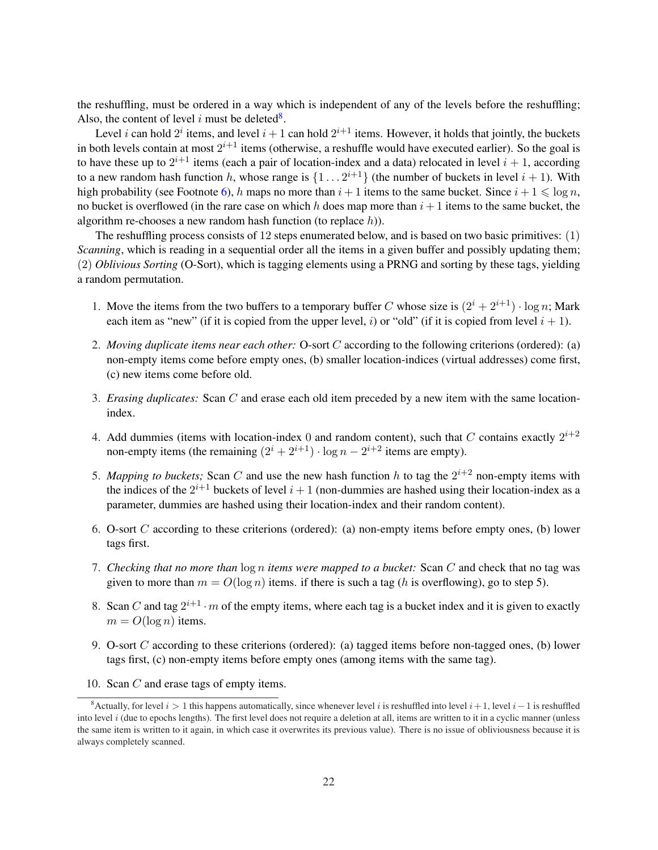the reshuffling, must be ordered in a way which is independent of any of the levels before the reshuffling; Also, the content of level i must be deleted<sup>8</sup>.

Level *i* can hold  $2^{i}$  items, and level  $i + 1$  can hold  $2^{i+1}$  items. However, it holds that jointly, the buckets in both levels contain at most  $2^{i+1}$  items (otherwise, a reshuffle would have executed earlier). So the goal is to have these up to  $2^{i+1}$  items (each a pair of location-index and a data) relocated in level  $i + 1$ , according to a new random hash function h, whose range is  $\{1 \dots 2^{i+1}\}$  (the number of buckets in level  $i + 1$ ). With high probability (see Footnote 6), h maps no more than  $i + 1$  items to the same bucket. Since  $i + 1 \leq \log n$ , no bucket is overflowed (in the rare case on which h does map more than  $i + 1$  items to the same bucket, the algorithm re-chooses a new random hash function (to replace  $h$ )).

The reshuffling process consists of 12 steps enumerated below, and is based on two basic primitives: (1) *Scanning*, which is reading in a sequential order all the items in a given buffer and possibly updating them; (2) *Oblivious Sorting* (O-Sort), which is tagging elements using a PRNG and sorting by these tags, yielding a random permutation.

- 1. Move the items from the two buffers to a temporary buffer C whose size is  $(2^{i} + 2^{i+1}) \cdot \log n$ ; Mark each item as "new" (if it is copied from the upper level, i) or "old" (if it is copied from level  $i + 1$ ).
- 2. *Moving duplicate items near each other:* O-sort C according to the following criterions (ordered): (a) non-empty items come before empty ones, (b) smaller location-indices (virtual addresses) come first, (c) new items come before old.
- 3. *Erasing duplicates:* Scan C and erase each old item preceded by a new item with the same locationindex.
- 4. Add dummies (items with location-index 0 and random content), such that C contains exactly  $2^{i+2}$ non-empty items (the remaining  $(2^{i} + 2^{i+1}) \cdot \log n - 2^{i+2}$  items are empty).
- 5. Mapping to buckets; Scan C and use the new hash function h to tag the  $2^{i+2}$  non-empty items with the indices of the  $2^{i+1}$  buckets of level  $i+1$  (non-dummies are hashed using their location-index as a parameter, dummies are hashed using their location-index and their random content).
- 6. O-sort C according to these criterions (ordered): (a) non-empty items before empty ones, (b) lower tags first.
- 7. *Checking that no more than* log n *items were mapped to a bucket:* Scan C and check that no tag was given to more than  $m = O(\log n)$  items. if there is such a tag (h is overflowing), go to step 5).
- 8. Scan C and tag  $2^{i+1} \cdot m$  of the empty items, where each tag is a bucket index and it is given to exactly  $m = O(\log n)$  items.
- 9. O-sort C according to these criterions (ordered): (a) tagged items before non-tagged ones, (b) lower tags first, (c) non-empty items before empty ones (among items with the same tag).
- 10. Scan C and erase tags of empty items.

<sup>&</sup>lt;sup>8</sup>Actually, for level  $i > 1$  this happens automatically, since whenever level i is reshuffled into level  $i + 1$ , level  $i - 1$  is reshuffled into level  $i$  (due to epochs lengths). The first level does not require a deletion at all, items are written to it in a cyclic manner (unless the same item is written to it again, in which case it overwrites its previous value). There is no issue of obliviousness because it is always completely scanned.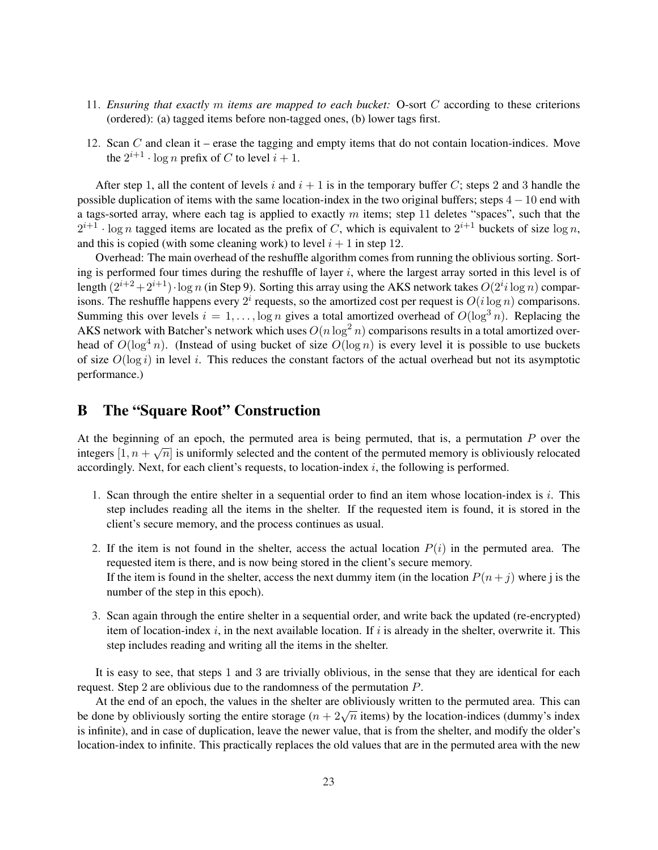- 11. *Ensuring that exactly* m *items are mapped to each bucket:* O-sort C according to these criterions (ordered): (a) tagged items before non-tagged ones, (b) lower tags first.
- 12. Scan  $C$  and clean it erase the tagging and empty items that do not contain location-indices. Move the  $2^{i+1} \cdot \log n$  prefix of C to level  $i+1$ .

After step 1, all the content of levels i and  $i + 1$  is in the temporary buffer C; steps 2 and 3 handle the possible duplication of items with the same location-index in the two original buffers; steps  $4 - 10$  end with a tags-sorted array, where each tag is applied to exactly  $m$  items; step 11 deletes "spaces", such that the  $2^{i+1} \cdot \log n$  tagged items are located as the prefix of C, which is equivalent to  $2^{i+1}$  buckets of size  $\log n$ , and this is copied (with some cleaning work) to level  $i + 1$  in step 12.

Overhead: The main overhead of the reshuffle algorithm comes from running the oblivious sorting. Sorting is performed four times during the reshuffle of layer  $i$ , where the largest array sorted in this level is of length  $(2^{i+2}+2^{i+1})\cdot \log n$  (in Step 9). Sorting this array using the AKS network takes  $O(2^i i \log n)$  comparisons. The reshuffle happens every  $2^i$  requests, so the amortized cost per request is  $O(i \log n)$  comparisons. Summing this over levels  $i = 1, \ldots, \log n$  gives a total amortized overhead of  $O(\log^3 n)$ . Replacing the AKS network with Batcher's network which uses  $O(n \log^2 n)$  comparisons results in a total amortized overhead of  $O(\log^4 n)$ . (Instead of using bucket of size  $O(\log n)$  is every level it is possible to use buckets of size  $O(\log i)$  in level i. This reduces the constant factors of the actual overhead but not its asymptotic performance.)

## B The "Square Root" Construction

At the beginning of an epoch, the permuted area is being permuted, that is, a permutation  $P$  over the integers  $[1, n + \sqrt{n}]$  is uniformly selected and the content of the permuted memory is obliviously relocated accordingly. Next, for each client's requests, to location-index  $i$ , the following is performed.

- 1. Scan through the entire shelter in a sequential order to find an item whose location-index is i. This step includes reading all the items in the shelter. If the requested item is found, it is stored in the client's secure memory, and the process continues as usual.
- 2. If the item is not found in the shelter, access the actual location  $P(i)$  in the permuted area. The requested item is there, and is now being stored in the client's secure memory. If the item is found in the shelter, access the next dummy item (in the location  $P(n + j)$  where j is the number of the step in this epoch).
- 3. Scan again through the entire shelter in a sequential order, and write back the updated (re-encrypted) item of location-index i, in the next available location. If i is already in the shelter, overwrite it. This step includes reading and writing all the items in the shelter.

It is easy to see, that steps 1 and 3 are trivially oblivious, in the sense that they are identical for each request. Step 2 are oblivious due to the randomness of the permutation P.

At the end of an epoch, the values in the shelter are obliviously written to the permuted area. This can At the end of an epoch, the values in the sheller are obliviously written to the permuted area. This can<br>be done by obliviously sorting the entire storage  $(n + 2\sqrt{n})$  items) by the location-indices (dummy's index is infinite), and in case of duplication, leave the newer value, that is from the shelter, and modify the older's location-index to infinite. This practically replaces the old values that are in the permuted area with the new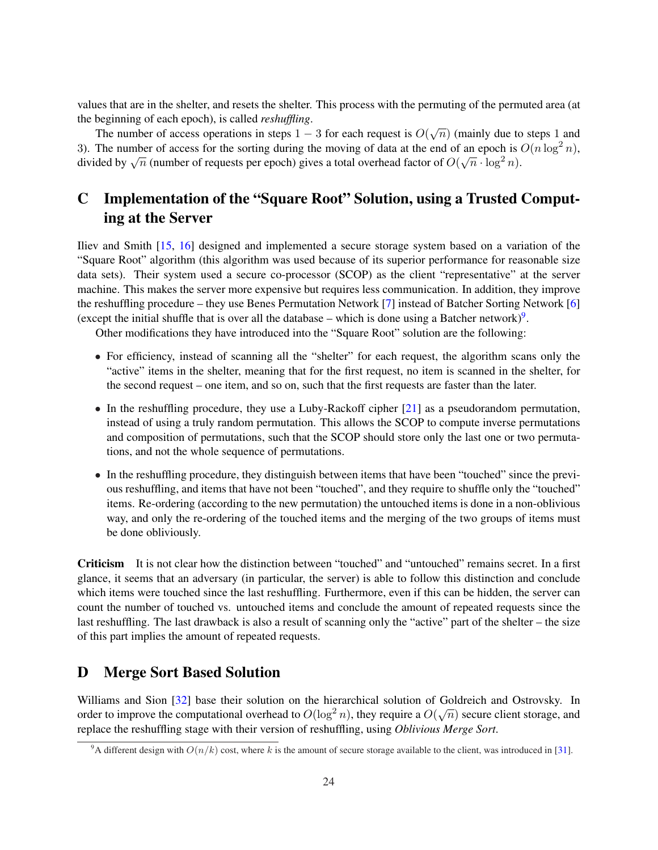values that are in the shelter, and resets the shelter. This process with the permuting of the permuted area (at the beginning of each epoch), is called *reshuffling*.

The number of access operations in steps  $1 - 3$  for each request is  $O(\sqrt{n})$  (mainly due to steps 1 and 3). The number of access for the sorting during the moving of data at the end of an epoch is  $O(n \log^2 n)$ , divided by  $\sqrt{n}$  (number of requests per epoch) gives a total overhead factor of  $O(\sqrt{n} \cdot \log^2 n)$ .

# C Implementation of the "Square Root" Solution, using a Trusted Computing at the Server

Iliev and Smith [15, 16] designed and implemented a secure storage system based on a variation of the "Square Root" algorithm (this algorithm was used because of its superior performance for reasonable size data sets). Their system used a secure co-processor (SCOP) as the client "representative" at the server machine. This makes the server more expensive but requires less communication. In addition, they improve the reshuffling procedure – they use Benes Permutation Network [7] instead of Batcher Sorting Network [6] (except the initial shuffle that is over all the database – which is done using a Batcher network)<sup>9</sup>.

Other modifications they have introduced into the "Square Root" solution are the following:

- For efficiency, instead of scanning all the "shelter" for each request, the algorithm scans only the "active" items in the shelter, meaning that for the first request, no item is scanned in the shelter, for the second request – one item, and so on, such that the first requests are faster than the later.
- In the reshuffling procedure, they use a Luby-Rackoff cipher  $[21]$  as a pseudorandom permutation, instead of using a truly random permutation. This allows the SCOP to compute inverse permutations and composition of permutations, such that the SCOP should store only the last one or two permutations, and not the whole sequence of permutations.
- In the reshuffling procedure, they distinguish between items that have been "touched" since the previous reshuffling, and items that have not been "touched", and they require to shuffle only the "touched" items. Re-ordering (according to the new permutation) the untouched items is done in a non-oblivious way, and only the re-ordering of the touched items and the merging of the two groups of items must be done obliviously.

Criticism It is not clear how the distinction between "touched" and "untouched" remains secret. In a first glance, it seems that an adversary (in particular, the server) is able to follow this distinction and conclude which items were touched since the last reshuffling. Furthermore, even if this can be hidden, the server can count the number of touched vs. untouched items and conclude the amount of repeated requests since the last reshuffling. The last drawback is also a result of scanning only the "active" part of the shelter – the size of this part implies the amount of repeated requests.

## D Merge Sort Based Solution

Williams and Sion [32] base their solution on the hierarchical solution of Goldreich and Ostrovsky. In williams and stole [32] base then solution on the inerarchical solution of Goldelch and Ostrovsky. In order to improve the computational overhead to  $O(\log^2 n)$ , they require a  $O(\sqrt{n})$  secure client storage, and replace the reshuffling stage with their version of reshuffling, using *Oblivious Merge Sort*.

<sup>&</sup>lt;sup>9</sup>A different design with  $O(n/k)$  cost, where k is the amount of secure storage available to the client, was introduced in [31].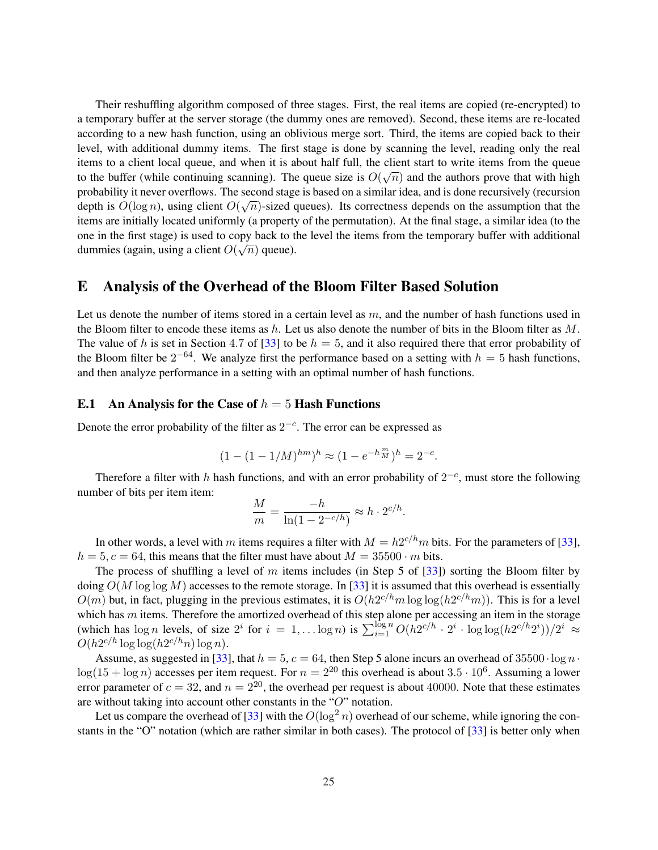Their reshuffling algorithm composed of three stages. First, the real items are copied (re-encrypted) to a temporary buffer at the server storage (the dummy ones are removed). Second, these items are re-located according to a new hash function, using an oblivious merge sort. Third, the items are copied back to their level, with additional dummy items. The first stage is done by scanning the level, reading only the real ttems to a client local queue, and when it is about half full, the client start to write items from the queue to the buffer (while continuing scanning). The queue size is  $O(\sqrt{n})$  and the authors prove that with high probability it never overflows. The second stage is based on a similar idea, and is done recursively (recursion depth is  $O(\log n)$ , using client  $O(\sqrt{n})$ -sized queues). Its correctness depends on the assumption that the items are initially located uniformly (a property of the permutation). At the final stage, a similar idea (to the one in the first stage) is used to copy back to the level the items from the temporary buffer with additional dummies (again, using a client  $O(\sqrt{n})$  queue).

## E Analysis of the Overhead of the Bloom Filter Based Solution

Let us denote the number of items stored in a certain level as  $m$ , and the number of hash functions used in the Bloom filter to encode these items as h. Let us also denote the number of bits in the Bloom filter as  $M$ . The value of h is set in Section 4.7 of [33] to be  $h = 5$ , and it also required there that error probability of the Bloom filter be  $2^{-64}$ . We analyze first the performance based on a setting with  $h = 5$  hash functions, and then analyze performance in a setting with an optimal number of hash functions.

### E.1 An Analysis for the Case of  $h = 5$  Hash Functions

Denote the error probability of the filter as  $2^{-c}$ . The error can be expressed as

$$
(1 - (1 - 1/M)^{hm})^h \approx (1 - e^{-h\frac{m}{M}})^h = 2^{-c}.
$$

Therefore a filter with h hash functions, and with an error probability of  $2^{-c}$ , must store the following number of bits per item item:

$$
\frac{M}{m} = \frac{-h}{\ln(1 - 2^{-c/h})} \approx h \cdot 2^{c/h}.
$$

In other words, a level with m items requires a filter with  $M = h2^{c/h}m$  bits. For the parameters of [33],  $h = 5, c = 64$ , this means that the filter must have about  $M = 35500 \cdot m$  bits.

The process of shuffling a level of m items includes (in Step 5 of [33]) sorting the Bloom filter by doing  $O(M \log \log M)$  accesses to the remote storage. In [33] it is assumed that this overhead is essentially  $O(m)$  but, in fact, plugging in the previous estimates, it is  $O(h2^{c/h}m \log \log(h2^{c/h}m))$ . This is for a level which has  $m$  items. Therefore the amortized overhead of this step alone per accessing an item in the storage which has log *n* levels, of size  $2^i$  for  $i = 1,... \log n$  is  $\sum_{i=1}^{\log n} O(h2^{c/h} \cdot 2^i \cdot \log \log(h2^{c/h}2^i))/2^i \approx$  $O(h2^{c/h} \log \log (h2^{c/h} n) \log n).$ 

Assume, as suggested in [33], that  $h = 5$ ,  $c = 64$ , then Step 5 alone incurs an overhead of 35500 · log n ·  $log(15 + log n)$  accesses per item request. For  $n = 2^{20}$  this overhead is about  $3.5 \cdot 10^6$ . Assuming a lower error parameter of  $c = 32$ , and  $n = 2^{20}$ , the overhead per request is about 40000. Note that these estimates are without taking into account other constants in the "O" notation.

Let us compare the overhead of [33] with the  $O(\log^2 n)$  overhead of our scheme, while ignoring the constants in the "O" notation (which are rather similar in both cases). The protocol of [33] is better only when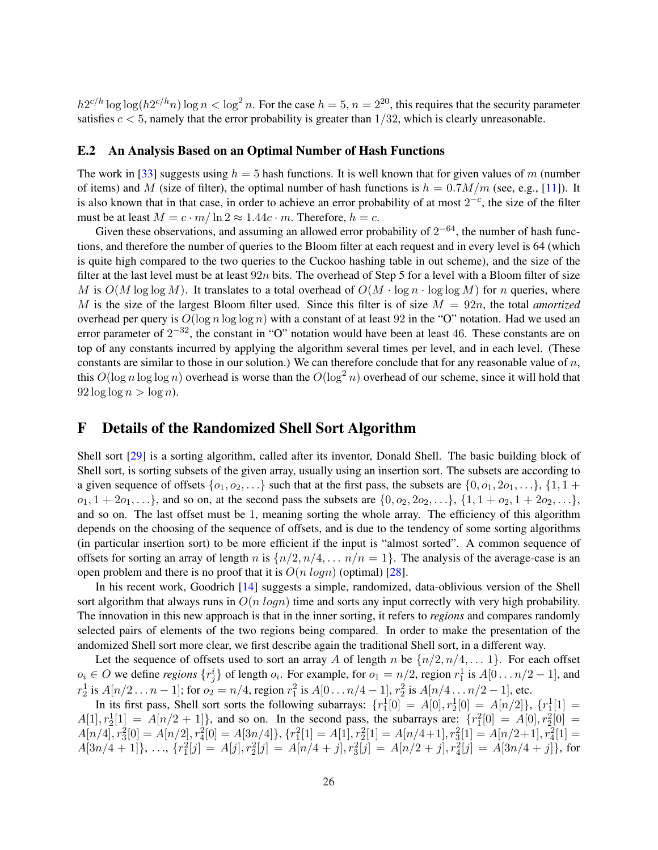$h2^{c/h} \log \log(h2^{c/h} n) \log n < \log^2 n$ . For the case  $h = 5$ ,  $n = 2^{20}$ , this requires that the security parameter satisfies  $c < 5$ , namely that the error probability is greater than 1/32, which is clearly unreasonable.

#### E.2 An Analysis Based on an Optimal Number of Hash Functions

The work in [33] suggests using  $h = 5$  hash functions. It is well known that for given values of m (number of items) and M (size of filter), the optimal number of hash functions is  $h = 0.7M/m$  (see, e.g., [11]). It is also known that in that case, in order to achieve an error probability of at most  $2^{-c}$ , the size of the filter must be at least  $M = c \cdot m / \ln 2 \approx 1.44c \cdot m$ . Therefore,  $h = c$ .

Given these observations, and assuming an allowed error probability of  $2^{-64}$ , the number of hash functions, and therefore the number of queries to the Bloom filter at each request and in every level is 64 (which is quite high compared to the two queries to the Cuckoo hashing table in out scheme), and the size of the filter at the last level must be at least  $92n$  bits. The overhead of Step 5 for a level with a Bloom filter of size M is  $O(M \log \log M)$ . It translates to a total overhead of  $O(M \cdot \log n \cdot \log \log M)$  for n queries, where M is the size of the largest Bloom filter used. Since this filter is of size  $M = 92n$ , the total *amortized* overhead per query is  $O(\log n \log \log n)$  with a constant of at least 92 in the "O" notation. Had we used an error parameter of  $2^{-32}$ , the constant in "O" notation would have been at least 46. These constants are on top of any constants incurred by applying the algorithm several times per level, and in each level. (These constants are similar to those in our solution.) We can therefore conclude that for any reasonable value of  $n$ , this  $O(\log n \log \log n)$  overhead is worse than the  $O(\log^2 n)$  overhead of our scheme, since it will hold that  $92 \log \log n > \log n$ ).

## F Details of the Randomized Shell Sort Algorithm

Shell sort [29] is a sorting algorithm, called after its inventor, Donald Shell. The basic building block of Shell sort, is sorting subsets of the given array, usually using an insertion sort. The subsets are according to a given sequence of offsets  $\{o_1, o_2, \ldots\}$  such that at the first pass, the subsets are  $\{0, o_1, 2o_1, \ldots\}$ ,  $\{1, 1 +$  $o_1, 1 + 2o_1, \ldots$ , and so on, at the second pass the subsets are  $\{0, o_2, 2o_2, \ldots\}$ ,  $\{1, 1 + o_2, 1 + 2o_2, \ldots\}$ , and so on. The last offset must be 1, meaning sorting the whole array. The efficiency of this algorithm depends on the choosing of the sequence of offsets, and is due to the tendency of some sorting algorithms (in particular insertion sort) to be more efficient if the input is "almost sorted". A common sequence of offsets for sorting an array of length n is  $\{n/2, n/4, \ldots n/n = 1\}$ . The analysis of the average-case is an open problem and there is no proof that it is  $O(n \log n)$  (optimal) [28].

In his recent work, Goodrich [14] suggests a simple, randomized, data-oblivious version of the Shell sort algorithm that always runs in  $O(n \log n)$  time and sorts any input correctly with very high probability. The innovation in this new approach is that in the inner sorting, it refers to *regions* and compares randomly selected pairs of elements of the two regions being compared. In order to make the presentation of the andomized Shell sort more clear, we first describe again the traditional Shell sort, in a different way.

Let the sequence of offsets used to sort an array A of length n be  $\{n/2, n/4, \ldots 1\}$ . For each offset  $o_i \in O$  we define *regions*  $\{r_j^i\}$  of length  $o_i$ . For example, for  $o_1 = n/2$ , region  $r_1^1$  is  $A[0 \dots n/2 - 1]$ , and  $r_2^1$  is  $A[n/2 \ldots n-1]$ ; for  $o_2 = n/4$ , region  $r_1^2$  is  $A[0 \ldots n/4-1]$ ,  $r_2^2$  is  $A[n/4 \ldots n/2-1]$ , etc.

In its first pass, Shell sort sorts the following subarrays:  $\{r_1^1[0] = A[0], r_2^1[0] = A[n/2]\}, \{r_1^1[1] = A[n/2]\}$  $A[1], r_2^1[1] = A[n/2 + 1]$ , and so on. In the second pass, the subarrays are:  $\{r_1^2[0] = A[0], r_2^2[0] = A[0]$  $A[n/4], r_3^2[0] = A[n/2], r_4^2[0] = A[3n/4], \{r_1^2[1] = A[1], r_2^2[1] = A[n/4+1], r_3^2[1] = A[n/2+1], r_4^2[1] = A[n/4], r_5^2[1] = A[n/4], r_6^2[1] = A[n/4], r_7^2[1] = A[n/4], r_8^2[1] = A[n/4], r_9^2[1] = A[n/4], r_9^2[1] = A[n/4], r_9^2[1] = A[n/4], r_9^2[1] = A[n/4], r_9^2[1] = A[n/$  $A[3n/4+1]\}, \ldots, \{r_1^2[j] = A[j], r_2^2[j] = A[n/4+j], r_3^2[j] = A[n/2+j], r_4^2[j] = A[3n/4+j]\},$  for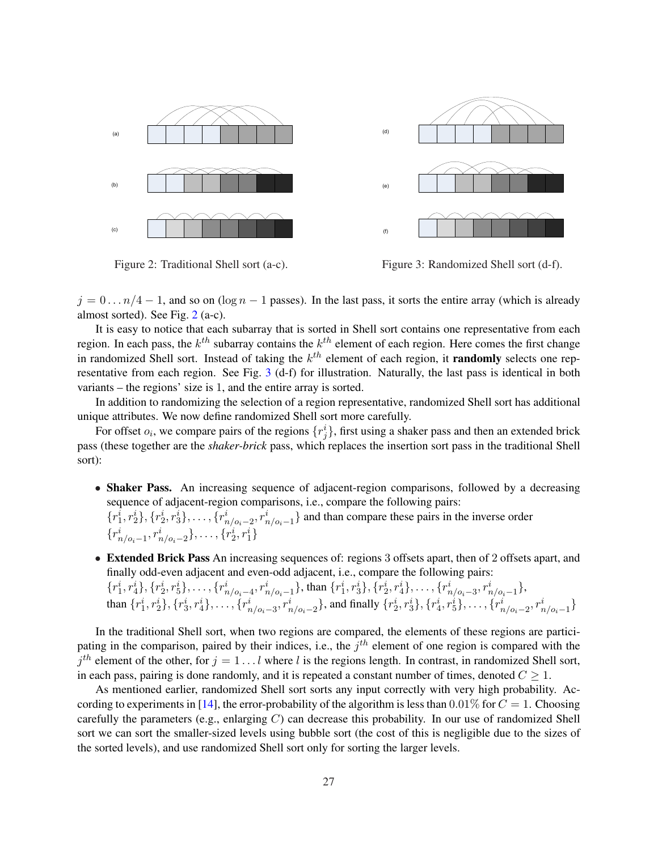

Figure 2: Traditional Shell sort (a-c).

Figure 3: Randomized Shell sort (d-f).

 $j = 0 \dots n/4 - 1$ , and so on (log  $n - 1$  passes). In the last pass, it sorts the entire array (which is already almost sorted). See Fig. 2 (a-c).

It is easy to notice that each subarray that is sorted in Shell sort contains one representative from each region. In each pass, the  $k^{th}$  subarray contains the  $k^{th}$  element of each region. Here comes the first change in randomized Shell sort. Instead of taking the  $k^{th}$  element of each region, it **randomly** selects one representative from each region. See Fig. 3 (d-f) for illustration. Naturally, the last pass is identical in both variants – the regions' size is 1, and the entire array is sorted.

In addition to randomizing the selection of a region representative, randomized Shell sort has additional unique attributes. We now define randomized Shell sort more carefully.

For offset  $o_i$ , we compare pairs of the regions  $\{r_j^i\}$ , first using a shaker pass and then an extended brick pass (these together are the *shaker-brick* pass, which replaces the insertion sort pass in the traditional Shell sort):

- Shaker Pass. An increasing sequence of adjacent-region comparisons, followed by a decreasing sequence of adjacent-region comparisons, i.e., compare the following pairs:  $\{r_1^i, r_2^i\}, \{r_2^i, r_3^i\}, \ldots, \{r_{n/(o_i-2)}^i, r_{n/(o_i-1)}^i\}$  and than compare these pairs in the inverse order  ${r_{n/o_i-1}^i, r_{n/o_i-2}^i\}, \ldots, {r_2^i, r_1^i\}$
- Extended Brick Pass An increasing sequences of: regions 3 offsets apart, then of 2 offsets apart, and finally odd-even adjacent and even-odd adjacent, i.e., compare the following pairs:  $\{r_1^i, r_4^i\}, \{r_2^i, r_5^i\}, \ldots, \{r_{n/o_i-4}^i, r_{n/o_i-1}^i\}, \text{than } \{r_1^i, r_3^i\}, \{r_2^i, r_4^i\}, \ldots, \{r_{n/o_i-3}^i, r_{n/o_i-1}^i\},$ than  $\{r_1^i, r_2^i\}, \{r_3^i, r_4^i\}, \ldots, \{r_{n/o_i-3}^i, r_{n/o_i-2}^i\}$ , and finally  $\{r_2^i, r_3^i\}, \{r_4^i, r_5^i\}, \ldots, \{r_{n/o_i-2}^i, r_{n/o_i-1}^i\}$

In the traditional Shell sort, when two regions are compared, the elements of these regions are participating in the comparison, paired by their indices, i.e., the  $j<sup>th</sup>$  element of one region is compared with the  $j<sup>th</sup>$  element of the other, for  $j = 1...l$  where l is the regions length. In contrast, in randomized Shell sort, in each pass, pairing is done randomly, and it is repeated a constant number of times, denoted  $C \geq 1$ .

As mentioned earlier, randomized Shell sort sorts any input correctly with very high probability. According to experiments in [14], the error-probability of the algorithm is less than  $0.01\%$  for  $C = 1$ . Choosing carefully the parameters (e.g., enlarging  $C$ ) can decrease this probability. In our use of randomized Shell sort we can sort the smaller-sized levels using bubble sort (the cost of this is negligible due to the sizes of the sorted levels), and use randomized Shell sort only for sorting the larger levels.